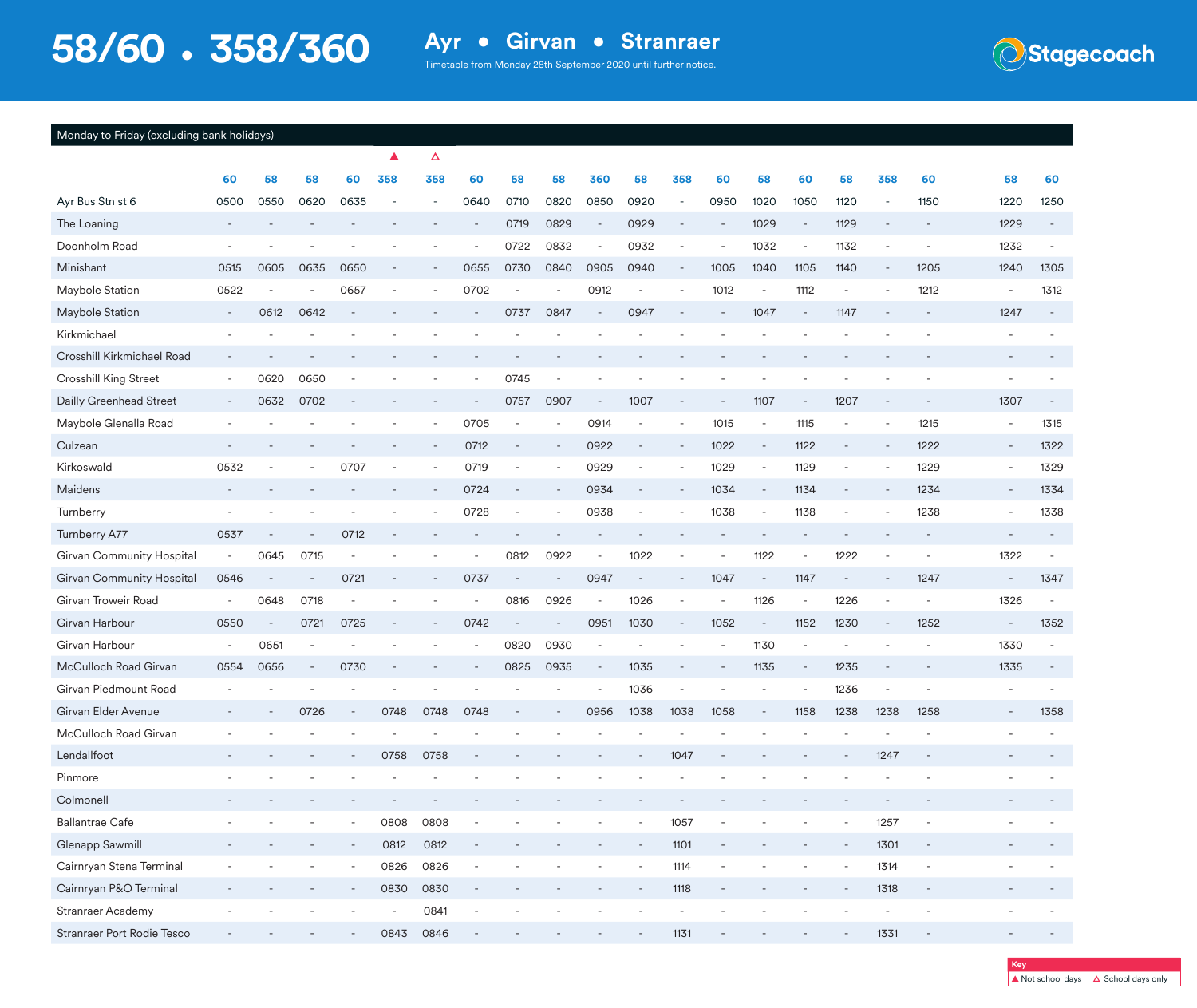**Stagecoach** 

| Monday to Friday (excluding bank holidays) |  |  |
|--------------------------------------------|--|--|
|                                            |  |  |

|                                  |                          |                          |                          |                          | ▲                        | Δ                        |                          |                          |                          |                          |                              |                              |                              |                          |                          |                          |                          |                          |                          |                          |
|----------------------------------|--------------------------|--------------------------|--------------------------|--------------------------|--------------------------|--------------------------|--------------------------|--------------------------|--------------------------|--------------------------|------------------------------|------------------------------|------------------------------|--------------------------|--------------------------|--------------------------|--------------------------|--------------------------|--------------------------|--------------------------|
|                                  | 60                       | 58                       | 58                       | 60                       | 358                      | 358                      | 60                       | 58                       | 58                       | 360                      | 58                           | 358                          | 60                           | 58                       | 60                       | 58                       | 358                      | 60                       | 58                       | 60                       |
| Ayr Bus Stn st 6                 | 0500                     | 0550                     | 0620                     | 0635                     |                          |                          | 0640                     | 0710                     | 0820                     | 0850                     | 0920                         | $\overline{\phantom{a}}$     | 0950                         | 1020                     | 1050                     | 1120                     | $\overline{\phantom{a}}$ | 1150                     | 1220                     | 1250                     |
| The Loaning                      |                          |                          |                          |                          |                          |                          |                          | 0719                     | 0829                     | $\overline{\phantom{a}}$ | 0929                         | $\qquad \qquad \blacksquare$ | $\overline{\phantom{a}}$     | 1029                     | $\overline{\phantom{a}}$ | 1129                     |                          | $\overline{\phantom{a}}$ | 1229                     |                          |
| Doonholm Road                    |                          |                          |                          |                          |                          |                          |                          | 0722                     | 0832                     | $\overline{\phantom{a}}$ | 0932                         | $\overline{\phantom{a}}$     | $\overline{\phantom{a}}$     | 1032                     | $\overline{\phantom{a}}$ | 1132                     | $\overline{\phantom{m}}$ | $\overline{\phantom{a}}$ | 1232                     |                          |
| Minishant                        | 0515                     | 0605                     | 0635                     | 0650                     |                          |                          | 0655                     | 0730                     | 0840                     | 0905                     | 0940                         | $\overline{\phantom{a}}$     | 1005                         | 1040                     | 1105                     | 1140                     | $\overline{\phantom{m}}$ | 1205                     | 1240                     | 1305                     |
| Maybole Station                  | 0522                     |                          |                          | 0657                     |                          |                          | 0702                     |                          |                          | 0912                     |                              |                              | 1012                         | $\overline{\phantom{a}}$ | 1112                     | $\overline{a}$           |                          | 1212                     | $\overline{\phantom{a}}$ | 1312                     |
| Maybole Station                  | $\overline{\phantom{a}}$ | 0612                     | 0642                     |                          |                          |                          |                          | 0737                     | 0847                     | $\overline{\phantom{a}}$ | 0947                         |                              |                              | 1047                     | $\overline{\phantom{a}}$ | 1147                     |                          | $\qquad \qquad -$        | 1247                     | $\overline{\phantom{a}}$ |
| Kirkmichael                      |                          |                          |                          |                          |                          |                          |                          |                          |                          |                          |                              |                              |                              |                          |                          |                          |                          |                          |                          |                          |
| Crosshill Kirkmichael Road       |                          |                          |                          |                          |                          |                          |                          |                          |                          |                          |                              |                              |                              |                          |                          |                          |                          |                          |                          |                          |
| <b>Crosshill King Street</b>     | $\overline{\phantom{a}}$ | 0620                     | 0650                     |                          |                          |                          |                          | 0745                     |                          |                          |                              |                              |                              |                          |                          |                          |                          |                          | $\overline{\phantom{a}}$ |                          |
| Dailly Greenhead Street          | $\overline{\phantom{a}}$ | 0632                     | 0702                     |                          |                          |                          |                          | 0757                     | 0907                     | $\overline{\phantom{a}}$ | 1007                         |                              |                              | 1107                     | $\overline{\phantom{a}}$ | 1207                     |                          |                          | 1307                     |                          |
| Maybole Glenalla Road            |                          |                          |                          |                          |                          |                          | 0705                     | $\overline{\phantom{a}}$ |                          | 0914                     | $\overline{\phantom{a}}$     | $\overline{\phantom{a}}$     | 1015                         | $\overline{\phantom{a}}$ | 1115                     | $\overline{\phantom{a}}$ | $\overline{a}$           | 1215                     | $\overline{\phantom{a}}$ | 1315                     |
| Culzean                          |                          |                          |                          |                          |                          |                          | 0712                     |                          |                          | 0922                     | $\qquad \qquad \blacksquare$ | $\overline{\phantom{a}}$     | 1022                         | $\overline{\phantom{a}}$ | 1122                     | $\qquad \qquad -$        |                          | 1222                     | $\overline{\phantom{a}}$ | 1322                     |
| Kirkoswald                       | 0532                     |                          |                          | 0707                     |                          | $\overline{\phantom{a}}$ | 0719                     | $\overline{\phantom{a}}$ | $\overline{\phantom{a}}$ | 0929                     | $\overline{\phantom{m}}$     | $\overline{\phantom{a}}$     | 1029                         | $\overline{\phantom{a}}$ | 1129                     | $\overline{\phantom{m}}$ | $\overline{a}$           | 1229                     | $\overline{\phantom{a}}$ | 1329                     |
| Maidens                          |                          |                          |                          |                          |                          |                          | 0724                     | $\overline{\phantom{a}}$ |                          | 0934                     | $\overline{\phantom{a}}$     | $\overline{\phantom{a}}$     | 1034                         | $\overline{\phantom{a}}$ | 1134                     | $\overline{\phantom{a}}$ |                          | 1234                     | $\overline{\phantom{a}}$ | 1334                     |
| Turnberry                        |                          |                          |                          |                          |                          |                          | 0728                     | $\overline{\phantom{a}}$ |                          | 0938                     | $\qquad \qquad -$            |                              | 1038                         | $\overline{\phantom{a}}$ | 1138                     | -                        |                          | 1238                     |                          | 1338                     |
| Turnberry A77                    | 0537                     |                          |                          | 0712                     |                          |                          |                          |                          |                          |                          |                              |                              |                              |                          |                          |                          |                          | $\overline{\phantom{a}}$ | $\overline{\phantom{a}}$ |                          |
| <b>Girvan Community Hospital</b> |                          | 0645                     | 0715                     |                          |                          |                          |                          | 0812                     | 0922                     | $\overline{\phantom{a}}$ | 1022                         |                              |                              | 1122                     | $\overline{\phantom{m}}$ | 1222                     | $\overline{a}$           |                          | 1322                     |                          |
| Girvan Community Hospital        | 0546                     | $\overline{\phantom{a}}$ |                          | 0721                     | $\sim$                   |                          | 0737                     | $\overline{\phantom{a}}$ | $\overline{\phantom{a}}$ | 0947                     | $\overline{\phantom{a}}$     | $\overline{\phantom{a}}$     | 1047                         | $\overline{\phantom{a}}$ | 1147                     | $\overline{\phantom{a}}$ | $\qquad \qquad -$        | 1247                     | $\sim$                   | 1347                     |
| Girvan Troweir Road              |                          | 0648                     | 0718                     |                          |                          |                          |                          | 0816                     | 0926                     | $\overline{\phantom{a}}$ | 1026                         | $\overline{\phantom{a}}$     | $\overline{\phantom{m}}$     | 1126                     | $\overline{\phantom{a}}$ | 1226                     | ÷                        | $\overline{\phantom{m}}$ | 1326                     | $\sim$                   |
| Girvan Harbour                   | 0550                     | $\overline{\phantom{a}}$ | 0721                     | 0725                     |                          |                          | 0742                     | $\sim$                   |                          | 0951                     | 1030                         | $\overline{\phantom{a}}$     | 1052                         | $\overline{\phantom{a}}$ | 1152                     | 1230                     | $\overline{a}$           | 1252                     | $\overline{\phantom{a}}$ | 1352                     |
| Girvan Harbour                   | $\overline{\phantom{a}}$ | 0651                     | $\overline{\phantom{a}}$ |                          |                          |                          |                          | 0820                     | 0930                     | $\overline{\phantom{a}}$ |                              |                              |                              | 1130                     | $\overline{\phantom{a}}$ |                          |                          |                          | 1330                     |                          |
| McCulloch Road Girvan            | 0554                     | 0656                     | $\overline{\phantom{a}}$ | 0730                     |                          |                          |                          | 0825                     | 0935                     | $\overline{\phantom{a}}$ | 1035                         |                              | $\overline{a}$               | 1135                     | $\overline{\phantom{a}}$ | 1235                     |                          |                          | 1335                     |                          |
| Girvan Piedmount Road            |                          |                          |                          |                          |                          |                          |                          |                          |                          | $\overline{\phantom{a}}$ | 1036                         | $\overline{\phantom{a}}$     | $\overline{\phantom{m}}$     | $\overline{\phantom{a}}$ | $\overline{\phantom{a}}$ | 1236                     | $\overline{\phantom{m}}$ |                          | $\overline{\phantom{a}}$ |                          |
| Girvan Elder Avenue              |                          |                          | 0726                     | $\overline{\phantom{a}}$ | 0748                     | 0748                     | 0748                     |                          |                          | 0956                     | 1038                         | 1038                         | 1058                         | $\overline{\phantom{a}}$ | 1158                     | 1238                     | 1238                     | 1258                     | $\overline{\phantom{a}}$ | 1358                     |
| McCulloch Road Girvan            |                          |                          |                          |                          |                          |                          |                          |                          |                          |                          |                              |                              |                              |                          |                          |                          |                          |                          |                          |                          |
| Lendallfoot                      |                          |                          |                          |                          | 0758                     | 0758                     |                          |                          |                          |                          |                              | 1047                         |                              |                          |                          |                          | 1247                     |                          |                          |                          |
| Pinmore                          |                          |                          |                          |                          |                          |                          |                          |                          |                          |                          |                              |                              |                              |                          |                          |                          |                          |                          |                          |                          |
| Colmonell                        |                          |                          |                          |                          |                          |                          |                          |                          |                          |                          |                              |                              |                              |                          |                          |                          |                          |                          |                          |                          |
| <b>Ballantrae Cafe</b>           |                          |                          |                          | $\overline{\phantom{a}}$ | 0808                     | 0808                     | $\overline{\phantom{a}}$ |                          |                          |                          | $\overline{\phantom{a}}$     | 1057                         | $\qquad \qquad \blacksquare$ |                          |                          | $\overline{\phantom{a}}$ | 1257                     | $\blacksquare$           |                          |                          |
| Glenapp Sawmill                  |                          |                          |                          |                          | 0812                     | 0812                     |                          |                          |                          |                          |                              | 1101                         |                              |                          |                          | $\overline{a}$           | 1301                     | $\blacksquare$           |                          |                          |
| Cairnryan Stena Terminal         |                          |                          |                          | $\overline{\phantom{a}}$ | 0826                     | 0826                     | $\blacksquare$           |                          |                          |                          | $\overline{\phantom{a}}$     | 1114                         | $\overline{\phantom{a}}$     | ٠                        | $\overline{\phantom{a}}$ | $\overline{\phantom{a}}$ | 1314                     | $\overline{\phantom{a}}$ |                          |                          |
| Cairnryan P&O Terminal           |                          |                          |                          |                          | 0830                     | 0830                     | $\overline{\phantom{a}}$ |                          |                          |                          |                              | 1118                         | $\qquad \qquad -$            |                          |                          |                          | 1318                     | $\overline{\phantom{a}}$ |                          |                          |
| Stranraer Academy                |                          |                          |                          |                          | $\overline{\phantom{a}}$ | 0841                     | $\overline{\phantom{a}}$ |                          |                          |                          |                              | $\overline{\phantom{a}}$     | $\overline{\phantom{a}}$     |                          |                          |                          | $\overline{\phantom{a}}$ | $\overline{\phantom{a}}$ |                          |                          |
| Stranraer Port Rodie Tesco       |                          |                          |                          |                          | 0843                     | 0846                     | $\overline{\phantom{a}}$ |                          |                          |                          |                              | 1131                         |                              |                          |                          |                          | 1331                     | $\overline{\phantom{a}}$ | $\qquad \qquad -$        |                          |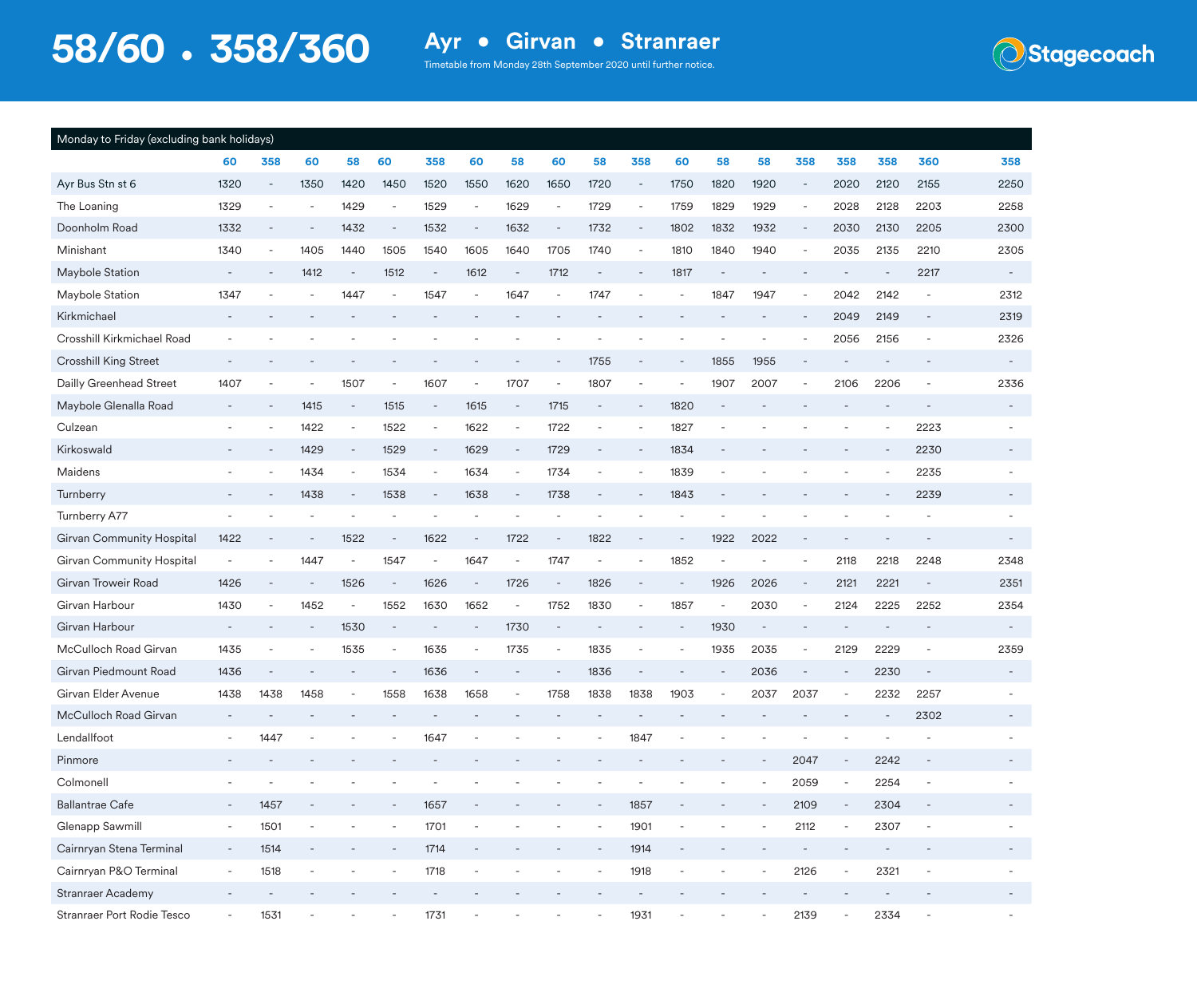**Stagecoach** 

| Monday to Friday (excluding bank holidays) |                          |                          |      |                          |                          |                          |                          |                          |                          |                          |                          |      |      |      |                          |                          |      |                          |                          |
|--------------------------------------------|--------------------------|--------------------------|------|--------------------------|--------------------------|--------------------------|--------------------------|--------------------------|--------------------------|--------------------------|--------------------------|------|------|------|--------------------------|--------------------------|------|--------------------------|--------------------------|
|                                            | 60                       | 358                      | 60   | 58                       | 60                       | 358                      | 60                       | 58                       | 60                       | 58                       | 358                      | 60   | 58   | 58   | 358                      | 358                      | 358  | 360                      | 358                      |
| Ayr Bus Stn st 6                           | 1320                     | $\overline{\phantom{a}}$ | 1350 | 1420                     | 1450                     | 1520                     | 1550                     | 1620                     | 1650                     | 1720                     | $\overline{\phantom{a}}$ | 1750 | 1820 | 1920 | $\overline{\phantom{a}}$ | 2020                     | 2120 | 2155                     | 2250                     |
| The Loaning                                | 1329                     |                          |      | 1429                     | $\overline{\phantom{a}}$ | 1529                     | $\overline{\phantom{a}}$ | 1629                     | $\overline{\phantom{a}}$ | 1729                     |                          | 1759 | 1829 | 1929 | $\overline{\phantom{a}}$ | 2028                     | 2128 | 2203                     | 2258                     |
| Doonholm Road                              | 1332                     |                          |      | 1432                     | $\overline{\phantom{a}}$ | 1532                     | $\overline{\phantom{a}}$ | 1632                     | $\overline{\phantom{a}}$ | 1732                     |                          | 1802 | 1832 | 1932 | $\overline{\phantom{a}}$ | 2030                     | 2130 | 2205                     | 2300                     |
| Minishant                                  | 1340                     | $\overline{\phantom{a}}$ | 1405 | 1440                     | 1505                     | 1540                     | 1605                     | 1640                     | 1705                     | 1740                     | $\overline{a}$           | 1810 | 1840 | 1940 | $\overline{\phantom{m}}$ | 2035                     | 2135 | 2210                     | 2305                     |
| Maybole Station                            |                          |                          | 1412 | $\overline{\phantom{a}}$ | 1512                     | $\overline{\phantom{a}}$ | 1612                     | $\qquad \qquad -$        | 1712                     | $\overline{\phantom{a}}$ |                          | 1817 |      |      |                          |                          |      | 2217                     | $\sim$                   |
| Maybole Station                            | 1347                     | $\overline{\phantom{a}}$ |      | 1447                     |                          | 1547                     | $\overline{\phantom{a}}$ | 1647                     | ٠                        | 1747                     |                          |      | 1847 | 1947 | $\overline{\phantom{a}}$ | 2042                     | 2142 | $\overline{\phantom{a}}$ | 2312                     |
| Kirkmichael                                |                          |                          |      |                          |                          |                          |                          |                          |                          |                          |                          |      |      |      | $\overline{\phantom{a}}$ | 2049                     | 2149 | $\overline{\phantom{a}}$ | 2319                     |
| Crosshill Kirkmichael Road                 |                          |                          |      |                          |                          |                          |                          |                          |                          |                          |                          |      |      |      |                          | 2056                     | 2156 | $\overline{\phantom{a}}$ | 2326                     |
| <b>Crosshill King Street</b>               |                          |                          |      |                          |                          |                          |                          |                          |                          | 1755                     |                          |      | 1855 | 1955 | $\overline{\phantom{a}}$ |                          |      |                          | $\overline{\phantom{a}}$ |
| Dailly Greenhead Street                    | 1407                     |                          |      | 1507                     | $\overline{\phantom{a}}$ | 1607                     | $\overline{\phantom{a}}$ | 1707                     | ÷                        | 1807                     | $\overline{\phantom{a}}$ |      | 1907 | 2007 | $\overline{\phantom{a}}$ | 2106                     | 2206 | $\overline{\phantom{a}}$ | 2336                     |
| Maybole Glenalla Road                      |                          | ٠                        | 1415 | $\overline{\phantom{a}}$ | 1515                     | $\overline{\phantom{a}}$ | 1615                     | $\sim$                   | 1715                     |                          |                          | 1820 |      |      |                          |                          |      |                          |                          |
| Culzean                                    |                          |                          | 1422 | $\overline{\phantom{a}}$ | 1522                     | $\overline{\phantom{a}}$ | 1622                     | $\overline{\phantom{a}}$ | 1722                     | $\overline{\phantom{a}}$ | $\overline{\phantom{a}}$ | 1827 |      |      |                          |                          |      | 2223                     |                          |
| Kirkoswald                                 |                          |                          | 1429 | $\overline{\phantom{a}}$ | 1529                     | $\overline{\phantom{a}}$ | 1629                     | $\overline{\phantom{a}}$ | 1729                     |                          |                          | 1834 |      |      |                          |                          |      | 2230                     |                          |
| Maidens                                    |                          |                          | 1434 | $\overline{\phantom{a}}$ | 1534                     | $\overline{\phantom{a}}$ | 1634                     | $\overline{\phantom{a}}$ | 1734                     |                          |                          | 1839 |      |      |                          |                          |      | 2235                     |                          |
| Turnberry                                  |                          |                          | 1438 | $\overline{\phantom{a}}$ | 1538                     | $\overline{\phantom{a}}$ | 1638                     | $\overline{a}$           | 1738                     |                          |                          | 1843 |      |      |                          |                          |      | 2239                     |                          |
| Turnberry A77                              |                          |                          |      |                          |                          |                          |                          |                          |                          |                          |                          |      |      |      |                          |                          |      |                          |                          |
| Girvan Community Hospital                  | 1422                     |                          |      | 1522                     | $\overline{\phantom{a}}$ | 1622                     | $\overline{\phantom{a}}$ | 1722                     | $\overline{\phantom{a}}$ | 1822                     |                          |      | 1922 | 2022 |                          |                          |      |                          | $\overline{\phantom{a}}$ |
| Girvan Community Hospital                  |                          |                          | 1447 |                          | 1547                     |                          | 1647                     |                          | 1747                     |                          |                          | 1852 |      |      |                          | 2118                     | 2218 | 2248                     | 2348                     |
| Girvan Troweir Road                        | 1426                     | $\overline{\phantom{a}}$ |      | 1526                     | $\overline{\phantom{a}}$ | 1626                     | $\overline{\phantom{a}}$ | 1726                     | $\overline{\phantom{a}}$ | 1826                     | $\overline{\phantom{a}}$ |      | 1926 | 2026 | $\overline{\phantom{a}}$ | 2121                     | 2221 | $\overline{\phantom{a}}$ | 2351                     |
| Girvan Harbour                             | 1430                     |                          | 1452 | $\overline{\phantom{a}}$ | 1552                     | 1630                     | 1652                     | $\overline{\phantom{a}}$ | 1752                     | 1830                     |                          | 1857 |      | 2030 | $\overline{\phantom{a}}$ | 2124                     | 2225 | 2252                     | 2354                     |
| Girvan Harbour                             |                          |                          |      | 1530                     |                          |                          | $\overline{\phantom{a}}$ | 1730                     | $\overline{\phantom{a}}$ |                          |                          |      | 1930 |      |                          |                          |      |                          |                          |
| McCulloch Road Girvan                      | 1435                     |                          |      | 1535                     | $\overline{\phantom{a}}$ | 1635                     | $\overline{\phantom{a}}$ | 1735                     | ÷                        | 1835                     |                          |      | 1935 | 2035 | ٠                        | 2129                     | 2229 | $\overline{a}$           | 2359                     |
| Girvan Piedmount Road                      | 1436                     |                          |      |                          |                          | 1636                     | $\overline{\phantom{a}}$ |                          | ÷,                       | 1836                     |                          |      |      | 2036 |                          | $\overline{\phantom{a}}$ | 2230 | $\overline{\phantom{a}}$ | $\overline{\phantom{a}}$ |
| Girvan Elder Avenue                        | 1438                     | 1438                     | 1458 |                          | 1558                     | 1638                     | 1658                     | $\overline{\phantom{a}}$ | 1758                     | 1838                     | 1838                     | 1903 |      | 2037 | 2037                     | $\overline{\phantom{a}}$ | 2232 | 2257                     |                          |
| McCulloch Road Girvan                      |                          |                          |      |                          |                          |                          |                          |                          |                          |                          |                          |      |      |      |                          |                          |      | 2302                     |                          |
| Lendallfoot                                |                          | 1447                     |      |                          |                          | 1647                     |                          |                          |                          |                          | 1847                     |      |      |      |                          |                          |      |                          |                          |
| Pinmore                                    |                          |                          |      |                          |                          |                          |                          |                          |                          |                          |                          |      |      |      | 2047                     |                          | 2242 |                          |                          |
| Colmonell                                  |                          |                          |      |                          |                          |                          |                          |                          |                          |                          |                          |      |      |      | 2059                     |                          | 2254 |                          |                          |
| <b>Ballantrae Cafe</b>                     | $\overline{\phantom{a}}$ | 1457                     |      |                          |                          | 1657                     |                          |                          |                          |                          | 1857                     |      |      |      | 2109                     | $\overline{\phantom{a}}$ | 2304 | $\overline{\phantom{a}}$ | $\sim$                   |
| Glenapp Sawmill                            | $\sim$                   | 1501                     |      |                          |                          | 1701                     |                          |                          |                          |                          | 1901                     |      |      |      | 2112                     | $\overline{\phantom{a}}$ | 2307 | $\overline{\phantom{a}}$ |                          |
| Cairnryan Stena Terminal                   |                          | 1514                     |      |                          |                          | 1714                     |                          |                          |                          |                          | 1914                     |      |      |      |                          |                          |      |                          |                          |
| Cairnryan P&O Terminal                     |                          | 1518                     |      |                          |                          | 1718                     | $\overline{\phantom{a}}$ |                          |                          |                          | 1918                     |      |      |      | 2126                     | $\overline{\phantom{a}}$ | 2321 | $\overline{\phantom{a}}$ |                          |
| Stranraer Academy                          |                          |                          |      |                          |                          |                          |                          |                          |                          |                          |                          |      |      |      |                          |                          |      |                          |                          |
| Stranraer Port Rodie Tesco                 |                          | 1531                     |      |                          |                          | 1731                     |                          |                          |                          |                          | 1931                     |      |      |      | 2139                     |                          | 2334 |                          |                          |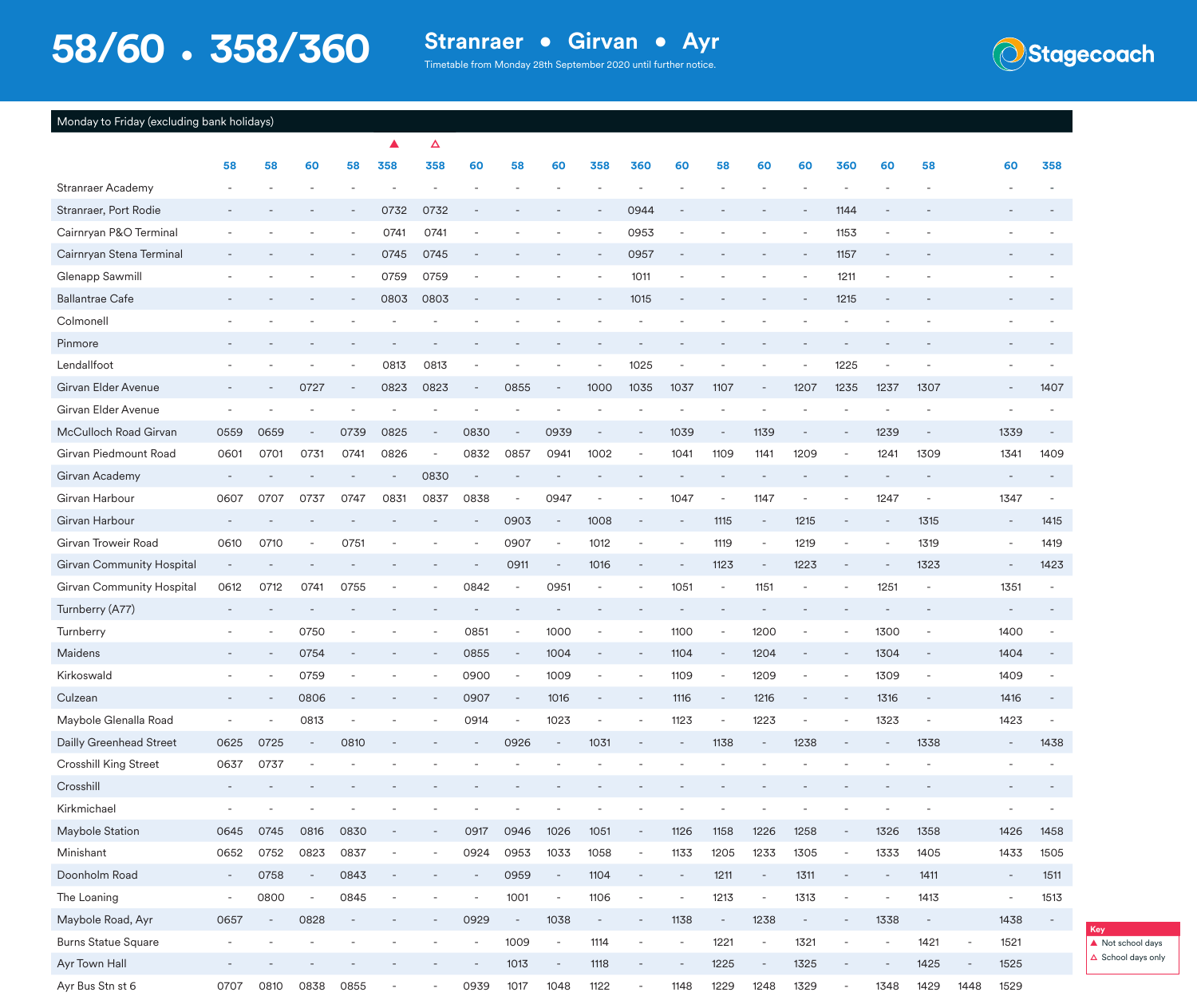Timetable from Monday 28th September 2020 until further notice.



#### Monday to Friday (excluding bank holidays)

|                            |                          |                          |                          |                          |                          | Δ                        |                          |                          |                          |                          |                          |                          |                          |                          |                          |                          |                          |                          |                |                          |                          |
|----------------------------|--------------------------|--------------------------|--------------------------|--------------------------|--------------------------|--------------------------|--------------------------|--------------------------|--------------------------|--------------------------|--------------------------|--------------------------|--------------------------|--------------------------|--------------------------|--------------------------|--------------------------|--------------------------|----------------|--------------------------|--------------------------|
|                            | 58                       | 58                       | 60                       | 58                       | 358                      | 358                      | 60                       | 58                       | 60                       | 358                      | 360                      | 60                       | 58                       | 60                       | 60                       | 360                      | 60                       | 58                       |                | 60                       | 358                      |
| Stranraer Academy          |                          |                          |                          |                          |                          |                          |                          |                          |                          |                          |                          |                          |                          |                          |                          |                          |                          |                          |                |                          |                          |
| Stranraer, Port Rodie      |                          |                          |                          |                          | 0732                     | 0732                     |                          |                          |                          |                          | 0944                     |                          |                          |                          |                          | 1144                     |                          |                          |                |                          |                          |
| Cairnryan P&O Terminal     |                          |                          |                          |                          | 0741                     | 0741                     |                          |                          |                          |                          | 0953                     |                          |                          |                          |                          | 1153                     |                          |                          |                |                          |                          |
| Cairnryan Stena Terminal   |                          |                          |                          |                          | 0745                     | 0745                     |                          |                          |                          |                          | 0957                     |                          |                          |                          |                          | 1157                     |                          |                          |                |                          |                          |
| Glenapp Sawmill            |                          |                          |                          | $\overline{\phantom{a}}$ | 0759                     | 0759                     |                          |                          |                          | $\overline{\phantom{a}}$ | 1011                     | $\overline{a}$           |                          |                          |                          | 1211                     | $\overline{a}$           |                          |                |                          |                          |
| <b>Ballantrae Cafe</b>     |                          |                          |                          |                          | 0803                     | 0803                     |                          |                          |                          |                          | 1015                     |                          |                          |                          |                          | 1215                     |                          |                          |                |                          |                          |
| Colmonell                  |                          |                          |                          |                          |                          |                          |                          |                          |                          |                          |                          |                          |                          |                          |                          |                          |                          |                          |                |                          |                          |
| Pinmore                    |                          |                          |                          |                          |                          |                          |                          |                          |                          |                          |                          |                          |                          |                          |                          |                          |                          |                          |                |                          |                          |
| Lendallfoot                |                          |                          |                          | $\overline{\phantom{a}}$ | 0813                     | 0813                     |                          |                          |                          |                          | 1025                     | $\overline{\phantom{a}}$ |                          |                          |                          | 1225                     |                          |                          |                |                          |                          |
| Girvan Elder Avenue        |                          |                          | 0727                     |                          | 0823                     | 0823                     |                          | 0855                     |                          | 1000                     | 1035                     | 1037                     | 1107                     | $\overline{\phantom{a}}$ | 1207                     | 1235                     | 1237                     | 1307                     |                | $\overline{\phantom{a}}$ | 1407                     |
| Girvan Elder Avenue        |                          |                          |                          |                          |                          |                          |                          |                          |                          |                          |                          |                          |                          |                          |                          |                          |                          |                          |                |                          |                          |
| McCulloch Road Girvan      | 0559                     | 0659                     | $\overline{\phantom{a}}$ | 0739                     | 0825                     | $\overline{\phantom{a}}$ | 0830                     | $\overline{\phantom{a}}$ | 0939                     | $\overline{\phantom{a}}$ |                          | 1039                     | $\sim$                   | 1139                     | $\qquad \qquad -$        |                          | 1239                     | $\qquad \qquad -$        |                | 1339                     |                          |
| Girvan Piedmount Road      | 0601                     | 0701                     | 0731                     | 0741                     | 0826                     |                          | 0832                     | 0857                     | 0941                     | 1002                     |                          | 1041                     | 1109                     | 1141                     | 1209                     | $\overline{a}$           | 1241                     | 1309                     |                | 1341                     | 1409                     |
| Girvan Academy             |                          |                          |                          |                          |                          | 0830                     |                          |                          |                          |                          |                          |                          |                          |                          |                          |                          |                          |                          |                |                          |                          |
| Girvan Harbour             | 0607                     | 0707                     | 0737                     | 0747                     | 0831                     | 0837                     | 0838                     | $\sim$                   | 0947                     | $\overline{\phantom{a}}$ |                          | 1047                     | $\sim$                   | 1147                     | $\overline{\phantom{a}}$ |                          | 1247                     | $\sim$                   |                | 1347                     |                          |
| Girvan Harbour             |                          |                          |                          |                          |                          |                          |                          | 0903                     | $\overline{\phantom{a}}$ | 1008                     |                          | $\overline{\phantom{a}}$ | 1115                     | $\overline{\phantom{a}}$ | 1215                     |                          |                          | 1315                     |                | $\equiv$                 | 1415                     |
| Girvan Troweir Road        | 0610                     | 0710                     | $\overline{\phantom{a}}$ | 0751                     |                          |                          |                          | 0907                     | $\overline{\phantom{a}}$ | 1012                     | $\overline{\phantom{a}}$ | $\overline{\phantom{a}}$ | 1119                     | $\overline{\phantom{a}}$ | 1219                     | $\overline{a}$           |                          | 1319                     |                | $\overline{\phantom{a}}$ | 1419                     |
| Girvan Community Hospital  |                          |                          |                          |                          |                          |                          |                          | 0911                     | $\overline{\phantom{a}}$ | 1016                     |                          |                          | 1123                     | $\overline{\phantom{a}}$ | 1223                     | $\overline{a}$           |                          | 1323                     |                | $\overline{\phantom{a}}$ | 1423                     |
| Girvan Community Hospital  | 0612                     | 0712                     | 0741                     | 0755                     |                          |                          | 0842                     | $\overline{\phantom{a}}$ | 0951                     | $\overline{\phantom{a}}$ |                          | 1051                     | $\overline{\phantom{a}}$ | 1151                     | $\overline{a}$           |                          | 1251                     | $\overline{a}$           |                | 1351                     |                          |
| Turnberry (A77)            |                          |                          |                          |                          |                          |                          |                          |                          |                          |                          |                          |                          |                          |                          |                          |                          |                          |                          |                | $\overline{\phantom{a}}$ |                          |
| Turnberry                  |                          | ÷                        | 0750                     |                          |                          |                          | 0851                     | $\overline{\phantom{a}}$ | 1000                     |                          |                          | 1100                     | $\overline{a}$           | 1200                     |                          |                          | 1300                     | $\overline{a}$           |                | 1400                     |                          |
| Maidens                    |                          |                          | 0754                     |                          |                          |                          | 0855                     | $\overline{\phantom{a}}$ | 1004                     | $\overline{\phantom{a}}$ |                          | 1104                     | $\overline{\phantom{a}}$ | 1204                     | $\overline{\phantom{m}}$ |                          | 1304                     | $\overline{\phantom{a}}$ |                | 1404                     |                          |
| Kirkoswald                 |                          |                          | 0759                     |                          |                          |                          | 0900                     | $\overline{\phantom{a}}$ | 1009                     |                          |                          | 1109                     | $\overline{\phantom{a}}$ | 1209                     | $\qquad \qquad -$        |                          | 1309                     | $\overline{a}$           |                | 1409                     |                          |
| Culzean                    |                          | $\overline{\phantom{a}}$ | 0806                     |                          |                          |                          | 0907                     | $\overline{\phantom{a}}$ | 1016                     | ÷,                       |                          | 1116                     | ÷,                       | 1216                     |                          |                          | 1316                     | $\overline{\phantom{a}}$ |                | 1416                     |                          |
| Maybole Glenalla Road      | $\overline{\phantom{a}}$ |                          | 0813                     | $\overline{\phantom{a}}$ |                          |                          | 0914                     | $\sim$                   | 1023                     | $\overline{\phantom{a}}$ |                          | 1123                     | $\sim$                   | 1223                     | $\blacksquare$           |                          | 1323                     | $\overline{\phantom{a}}$ |                | 1423                     |                          |
| Dailly Greenhead Street    | 0625                     | 0725                     |                          | 0810                     |                          |                          |                          | 0926                     |                          | 1031                     |                          |                          | 1138                     | $\overline{\phantom{a}}$ | 1238                     |                          |                          | 1338                     |                | $\overline{\phantom{a}}$ | 1438                     |
| Crosshill King Street      | 0637                     | 0737                     |                          |                          |                          |                          |                          |                          |                          |                          |                          |                          |                          |                          |                          |                          |                          |                          |                |                          |                          |
| Crosshill                  |                          |                          |                          |                          |                          |                          |                          |                          |                          |                          |                          |                          |                          |                          |                          |                          |                          |                          |                | $\overline{\phantom{a}}$ |                          |
| Kirkmichael                |                          |                          |                          |                          |                          |                          |                          |                          |                          | $\overline{\phantom{a}}$ |                          | $\overline{a}$           | -                        | $\overline{a}$           |                          | $\overline{\phantom{a}}$ |                          | $\overline{\phantom{m}}$ |                | $\overline{\phantom{a}}$ |                          |
| Maybole Station            | 0645                     | 0745                     | 0816                     | 0830                     |                          | $\overline{\phantom{a}}$ | 0917                     | 0946                     | 1026                     | 1051                     | $\overline{\phantom{a}}$ | 1126                     | 1158                     | 1226                     | 1258                     | $\overline{\phantom{a}}$ | 1326                     | 1358                     |                | 1426                     | 1458                     |
| Minishant                  | 0652                     | 0752                     | 0823                     | 0837                     |                          | $\overline{\phantom{a}}$ | 0924                     | 0953                     | 1033                     | 1058                     | $\overline{\phantom{a}}$ | 1133                     | 1205                     | 1233                     | 1305                     | $\overline{\phantom{a}}$ | 1333                     | 1405                     |                | 1433                     | 1505                     |
| Doonholm Road              | $\blacksquare$           | 0758                     | $\overline{\phantom{a}}$ | 0843                     | $\overline{\phantom{a}}$ |                          | $\overline{\phantom{a}}$ | 0959                     | $\overline{\phantom{a}}$ | 1104                     | $\overline{\phantom{a}}$ | $\overline{\phantom{a}}$ | 1211                     | $\overline{\phantom{a}}$ | 1311                     | $\overline{\phantom{a}}$ | $\overline{\phantom{a}}$ | 1411                     |                | $\overline{\phantom{a}}$ | 1511                     |
| The Loaning                | $\overline{\phantom{m}}$ | 0800                     | $\overline{\phantom{a}}$ | 0845                     |                          |                          |                          | 1001                     | $\overline{\phantom{a}}$ | 1106                     | $\overline{\phantom{a}}$ | $\overline{\phantom{a}}$ | 1213                     | $\blacksquare$           | 1313                     | $\overline{\phantom{a}}$ | $\overline{a}$           | 1413                     |                | $\overline{\phantom{a}}$ | 1513                     |
| Maybole Road, Ayr          | 0657                     | $\overline{\phantom{a}}$ | 0828                     | $\overline{\phantom{a}}$ |                          |                          | 0929                     | $\overline{\phantom{a}}$ | 1038                     | $\sim$                   | $\overline{\phantom{a}}$ | 1138                     | $\blacksquare$           | 1238                     | $\overline{\phantom{a}}$ | $\overline{\phantom{a}}$ | 1338                     | $\overline{\phantom{a}}$ |                | 1438                     | $\overline{\phantom{a}}$ |
| <b>Burns Statue Square</b> | $\overline{\phantom{a}}$ |                          |                          |                          |                          |                          | $\sim$                   | 1009                     | $\overline{\phantom{a}}$ | 1114                     | $\overline{\phantom{a}}$ | $\overline{\phantom{a}}$ | 1221                     | $\overline{\phantom{a}}$ | 1321                     | $\blacksquare$           | $\overline{\phantom{a}}$ | 1421                     | $\overline{a}$ | 1521                     |                          |
| Ayr Town Hall              |                          |                          |                          |                          |                          |                          |                          | 1013                     | $\overline{\phantom{a}}$ | 1118                     |                          | $\overline{\phantom{a}}$ | 1225                     | $\overline{\phantom{a}}$ | 1325                     |                          |                          | 1425                     |                | 1525                     |                          |
| Ayr Bus Stn st 6           | 0707                     | 0810                     | 0838                     | 0855                     | $\overline{\phantom{a}}$ |                          | 0939                     | 1017                     | 1048                     | 1122                     | $\sim$                   | 1148                     | 1229                     | 1248                     | 1329                     | $\overline{\phantom{a}}$ | 1348                     | 1429                     | 1448           | 1529                     |                          |

**▲** Not school days **△** School days only

**Key**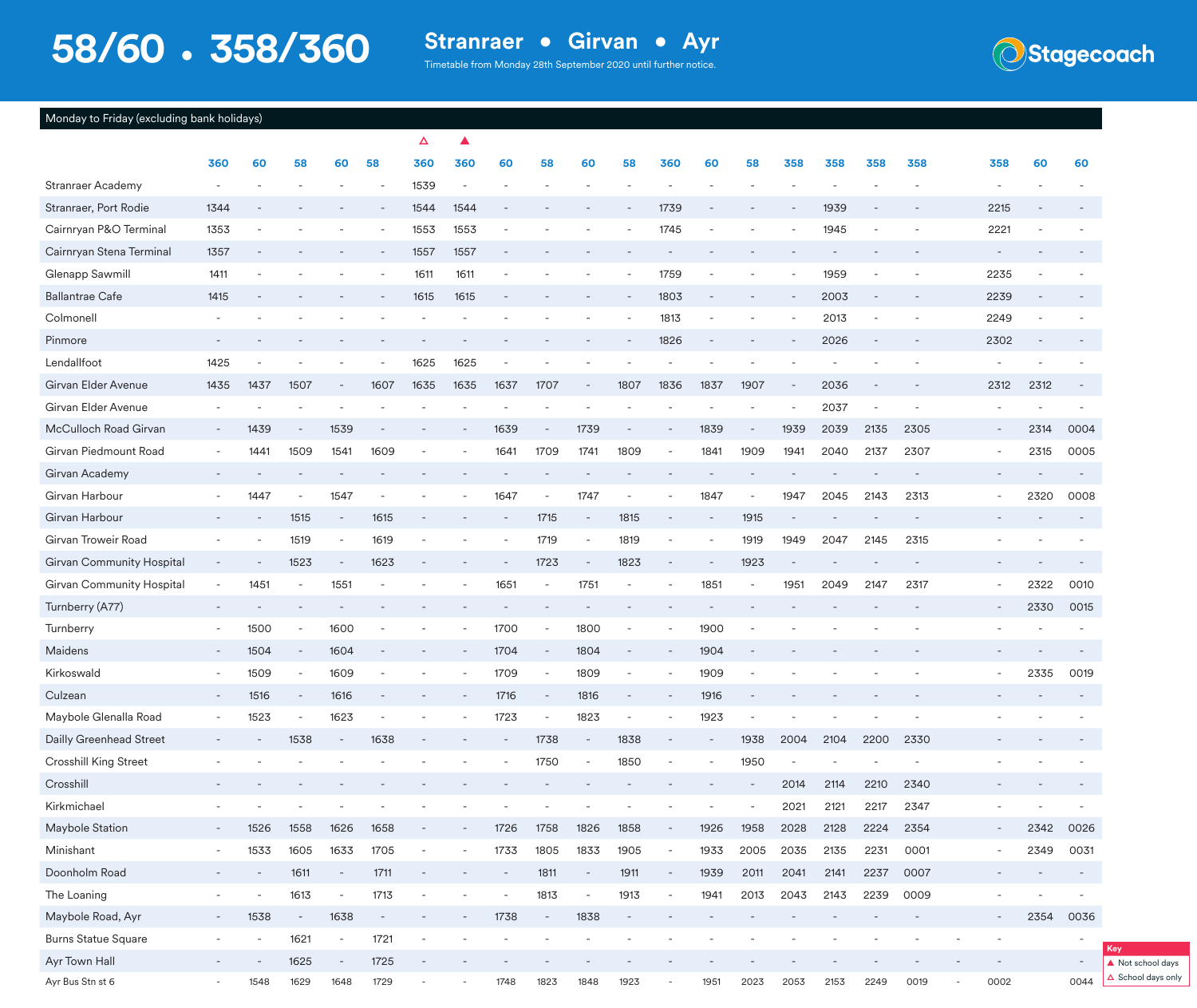Timetable from Monday 28th September 2020 until further notice.



| Monday to Friday (excluding bank holidays) |  |  |
|--------------------------------------------|--|--|
|                                            |  |  |

|                            |                          |                          |                          |                          |                          | Δ    |                          |                          |                          |                          |                          |                          |      |                          |      |      |      |                          |                          |                          |                          |                          |
|----------------------------|--------------------------|--------------------------|--------------------------|--------------------------|--------------------------|------|--------------------------|--------------------------|--------------------------|--------------------------|--------------------------|--------------------------|------|--------------------------|------|------|------|--------------------------|--------------------------|--------------------------|--------------------------|--------------------------|
|                            | 360                      | 60                       | 58                       | 60                       | 58                       | 360  | 360                      | 60                       | 58                       | 60                       | 58                       | 360                      | 60   | 58                       | 358  | 358  | 358  | 358                      |                          | 358                      | 60                       | 60                       |
| Stranraer Academy          |                          |                          |                          |                          |                          | 1539 |                          |                          |                          |                          |                          |                          |      |                          |      |      |      |                          |                          |                          |                          |                          |
| Stranraer, Port Rodie      | 1344                     |                          |                          |                          |                          | 1544 | 1544                     |                          |                          |                          |                          | 1739                     |      |                          |      | 1939 |      |                          |                          | 2215                     |                          |                          |
| Cairnryan P&O Terminal     | 1353                     |                          |                          |                          |                          | 1553 | 1553                     |                          |                          |                          |                          | 1745                     |      |                          |      | 1945 |      |                          |                          | 2221                     |                          |                          |
| Cairnryan Stena Terminal   | 1357                     |                          |                          |                          |                          | 1557 | 1557                     |                          |                          |                          |                          |                          |      |                          |      |      |      |                          |                          |                          |                          |                          |
| Glenapp Sawmill            | 1411                     |                          |                          |                          |                          | 1611 | 1611                     |                          |                          |                          |                          | 1759                     |      |                          |      | 1959 |      |                          |                          | 2235                     |                          |                          |
| <b>Ballantrae Cafe</b>     | 1415                     |                          |                          |                          |                          | 1615 | 1615                     |                          |                          |                          |                          | 1803                     |      |                          |      | 2003 |      |                          |                          | 2239                     |                          |                          |
| Colmonell                  |                          |                          |                          |                          |                          |      |                          |                          |                          |                          |                          | 1813                     |      |                          |      | 2013 |      |                          |                          | 2249                     |                          |                          |
| Pinmore                    |                          |                          |                          |                          |                          |      |                          |                          |                          |                          |                          | 1826                     |      |                          |      | 2026 |      |                          |                          | 2302                     | $\overline{\phantom{a}}$ |                          |
| Lendallfoot                | 1425                     |                          |                          |                          |                          | 1625 | 1625                     |                          |                          |                          |                          |                          |      |                          |      |      |      |                          |                          |                          |                          |                          |
| Girvan Elder Avenue        | 1435                     | 1437                     | 1507                     |                          | 1607                     | 1635 | 1635                     | 1637                     | 1707                     |                          | 1807                     | 1836                     | 1837 | 1907                     |      | 2036 |      |                          |                          | 2312                     | 2312                     |                          |
| Girvan Elder Avenue        |                          |                          |                          |                          |                          |      |                          |                          |                          |                          |                          |                          |      |                          |      | 2037 |      |                          |                          |                          |                          |                          |
| McCulloch Road Girvan      | $\sim$                   | 1439                     | $\equiv$                 | 1539                     |                          |      |                          | 1639                     | $\overline{\phantom{a}}$ | 1739                     |                          | $\overline{\phantom{a}}$ | 1839 | $\overline{\phantom{a}}$ | 1939 | 2039 | 2135 | 2305                     |                          | $\overline{\phantom{a}}$ | 2314                     | 0004                     |
| Girvan Piedmount Road      |                          | 1441                     | 1509                     | 1541                     | 1609                     |      |                          | 1641                     | 1709                     | 1741                     | 1809                     | $\overline{\phantom{a}}$ | 1841 | 1909                     | 1941 | 2040 | 2137 | 2307                     |                          |                          | 2315                     | 0005                     |
| Girvan Academy             |                          |                          |                          |                          |                          |      |                          |                          |                          |                          |                          |                          |      |                          |      |      |      |                          |                          |                          |                          |                          |
| Girvan Harbour             |                          | 1447                     | $\sim$                   | 1547                     |                          |      |                          | 1647                     | $\overline{a}$           | 1747                     | $\overline{\phantom{a}}$ |                          | 1847 | $\overline{\phantom{a}}$ | 1947 | 2045 | 2143 | 2313                     |                          |                          | 2320                     | 0008                     |
| Girvan Harbour             |                          |                          | 1515                     | $\overline{\phantom{a}}$ | 1615                     |      |                          |                          | 1715                     |                          | 1815                     |                          |      | 1915                     |      |      |      |                          |                          |                          |                          |                          |
| Girvan Troweir Road        |                          | $\overline{a}$           | 1519                     | $\overline{\phantom{a}}$ | 1619                     |      |                          |                          | 1719                     | $\overline{\phantom{a}}$ | 1819                     | $\overline{\phantom{a}}$ |      | 1919                     | 1949 | 2047 | 2145 | 2315                     |                          |                          |                          |                          |
| Girvan Community Hospital  |                          |                          | 1523                     | $\overline{\phantom{a}}$ | 1623                     |      |                          |                          | 1723                     | $\overline{\phantom{a}}$ | 1823                     | ٠                        |      | 1923                     |      |      |      |                          |                          |                          |                          |                          |
| Girvan Community Hospital  |                          | 1451                     |                          | 1551                     |                          |      |                          | 1651                     |                          | 1751                     |                          |                          | 1851 |                          | 1951 | 2049 | 2147 | 2317                     |                          |                          | 2322                     | 0010                     |
| Turnberry (A77)            |                          |                          |                          |                          |                          |      |                          |                          |                          |                          |                          |                          |      |                          |      |      |      |                          |                          |                          | 2330                     | 0015                     |
| Turnberry                  | $\overline{\phantom{a}}$ | 1500                     | $\overline{\phantom{a}}$ | 1600                     |                          |      |                          | 1700                     |                          | 1800                     |                          |                          | 1900 |                          |      |      |      |                          |                          |                          |                          |                          |
| Maidens                    | $\overline{\phantom{a}}$ | 1504                     | $\sim$                   | 1604                     |                          |      |                          | 1704                     |                          | 1804                     |                          | $\overline{\phantom{a}}$ | 1904 |                          |      |      |      |                          |                          |                          |                          |                          |
| Kirkoswald                 |                          | 1509                     | $\overline{\phantom{a}}$ | 1609                     |                          |      |                          | 1709                     |                          | 1809                     | $\overline{\phantom{a}}$ |                          | 1909 |                          |      |      |      |                          |                          |                          | 2335                     | 0019                     |
| Culzean                    |                          | 1516                     | $\overline{\phantom{a}}$ | 1616                     |                          |      |                          | 1716                     |                          | 1816                     |                          |                          | 1916 |                          |      |      |      |                          |                          |                          |                          |                          |
| Maybole Glenalla Road      | $\overline{\phantom{a}}$ | 1523                     | $\sim$                   | 1623                     | $\overline{a}$           |      |                          | 1723                     | $\overline{a}$           | 1823                     | $\overline{\phantom{a}}$ |                          | 1923 | $\qquad \qquad -$        |      |      |      |                          |                          |                          |                          |                          |
| Dailly Greenhead Street    |                          |                          | 1538                     | $\overline{\phantom{a}}$ | 1638                     |      |                          |                          | 1738                     |                          | 1838                     |                          |      | 1938                     | 2004 | 2104 | 2200 | 2330                     |                          |                          |                          |                          |
| Crosshill King Street      |                          |                          |                          |                          |                          |      |                          |                          | 1750                     | $\sim$                   | 1850                     |                          |      | 1950                     |      |      |      |                          |                          |                          |                          |                          |
| Crosshill                  |                          |                          |                          |                          |                          |      |                          |                          |                          |                          |                          |                          |      |                          | 2014 | 2114 | 2210 | 2340                     |                          |                          |                          |                          |
| Kirkmichael                |                          |                          |                          |                          |                          |      |                          |                          |                          |                          |                          |                          |      |                          | 2021 | 2121 | 2217 | 2347                     |                          |                          |                          |                          |
| Maybole Station            | $\overline{\phantom{a}}$ | 1526                     | 1558                     | 1626                     | 1658                     |      | $\overline{\phantom{a}}$ | 1726                     | 1758                     | 1826                     | 1858                     | $\overline{\phantom{a}}$ | 1926 | 1958                     | 2028 | 2128 | 2224 | 2354                     |                          | $\overline{\phantom{a}}$ | 2342                     | 0026                     |
| Minishant                  |                          | 1533                     | 1605                     | 1633                     | 1705                     |      |                          | 1733                     | 1805                     | 1833                     | 1905                     | $\overline{\phantom{a}}$ | 1933 | 2005                     | 2035 | 2135 | 2231 | 0001                     |                          |                          | 2349                     | 0031                     |
| Doonholm Road              |                          | $\overline{\phantom{a}}$ | 1611                     | $\overline{\phantom{a}}$ | 1711                     |      |                          |                          | 1811                     | $\overline{\phantom{a}}$ | 1911                     | $\overline{\phantom{a}}$ | 1939 | 2011                     | 2041 | 2141 | 2237 | 0007                     |                          |                          |                          | $\overline{\phantom{a}}$ |
| The Loaning                | $\overline{\phantom{a}}$ | -                        | 1613                     | $\blacksquare$           | 1713                     |      |                          | $\overline{\phantom{a}}$ | 1813                     | $\overline{\phantom{a}}$ | 1913                     | $\overline{\phantom{a}}$ | 1941 | 2013                     | 2043 | 2143 | 2239 | 0009                     |                          |                          |                          | $\overline{\phantom{a}}$ |
| Maybole Road, Ayr          |                          | 1538                     | $\overline{\phantom{a}}$ | 1638                     | $\overline{\phantom{a}}$ |      |                          | 1738                     | $\overline{\phantom{a}}$ | 1838                     | $\overline{\phantom{a}}$ |                          |      |                          |      |      |      | $\overline{\phantom{a}}$ |                          |                          | 2354                     | 0036                     |
| <b>Burns Statue Square</b> | $\overline{\phantom{a}}$ | $\overline{\phantom{a}}$ | 1621                     | $\overline{\phantom{a}}$ | 1721                     |      |                          |                          |                          | $\overline{\phantom{a}}$ | $\overline{\phantom{a}}$ |                          |      |                          |      |      |      |                          |                          |                          |                          | $\sim$                   |
| Ayr Town Hall              | $\overline{\phantom{a}}$ |                          | 1625                     | $\overline{\phantom{a}}$ | 1725                     |      |                          |                          |                          |                          |                          |                          |      |                          |      |      |      |                          |                          |                          |                          | $\sim$                   |
| Ayr Bus Stn st 6           | $\overline{\phantom{a}}$ | 1548                     | 1629                     | 1648                     | 1729                     |      |                          | 1748                     | 1823                     | 1848                     | 1923                     | $\overline{\phantom{a}}$ | 1951 | 2023                     | 2053 | 2153 | 2249 | 0019                     | $\overline{\phantom{a}}$ | 0002                     |                          | 0044                     |

**Key ▲** Not school days **△** School days only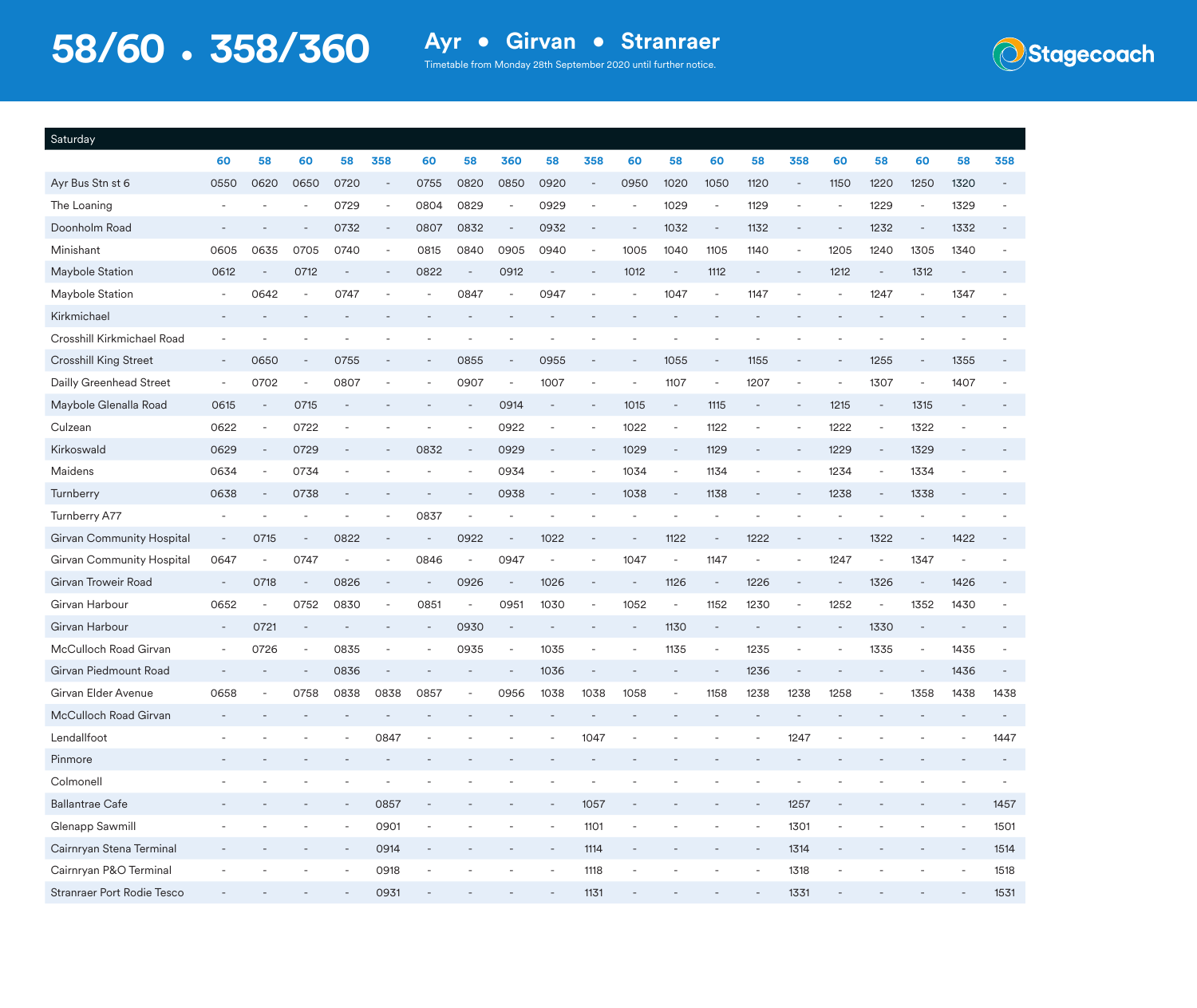**Stagecoach** 

| Saturday                   |                          |                          |        |                          |                          |                          |                          |                          |                          |                          |                          |                          |                          |                          |                          |                          |                          |                          |                          |      |
|----------------------------|--------------------------|--------------------------|--------|--------------------------|--------------------------|--------------------------|--------------------------|--------------------------|--------------------------|--------------------------|--------------------------|--------------------------|--------------------------|--------------------------|--------------------------|--------------------------|--------------------------|--------------------------|--------------------------|------|
|                            | 60                       | 58                       | 60     | 58                       | 358                      | 60                       | 58                       | 360                      | 58                       | 358                      | 60                       | 58                       | 60                       | 58                       | 358                      | 60                       | 58                       | 60                       | 58                       | 358  |
| Ayr Bus Stn st 6           | 0550                     | 0620                     | 0650   | 0720                     |                          | 0755                     | 0820                     | 0850                     | 0920                     |                          | 0950                     | 1020                     | 1050                     | 1120                     | $\overline{\phantom{a}}$ | 1150                     | 1220                     | 1250                     | 1320                     |      |
| The Loaning                |                          |                          |        | 0729                     |                          | 0804                     | 0829                     |                          | 0929                     |                          | $\overline{\phantom{a}}$ | 1029                     |                          | 1129                     |                          | $\overline{\phantom{a}}$ | 1229                     | $\overline{\phantom{a}}$ | 1329                     |      |
| Doonholm Road              |                          |                          |        | 0732                     | $\overline{\phantom{a}}$ | 0807                     | 0832                     |                          | 0932                     |                          |                          | 1032                     | $\overline{\phantom{a}}$ | 1132                     |                          | $\overline{\phantom{a}}$ | 1232                     | $\overline{\phantom{a}}$ | 1332                     |      |
| Minishant                  | 0605                     | 0635                     | 0705   | 0740                     | $\overline{\phantom{a}}$ | 0815                     | 0840                     | 0905                     | 0940                     | $\overline{\phantom{a}}$ | 1005                     | 1040                     | 1105                     | 1140                     | $\overline{\phantom{a}}$ | 1205                     | 1240                     | 1305                     | 1340                     |      |
| Maybole Station            | 0612                     | $\overline{\phantom{a}}$ | 0712   | $\overline{\phantom{a}}$ |                          | 0822                     | $\overline{\phantom{a}}$ | 0912                     | $\overline{\phantom{a}}$ |                          | 1012                     | $\overline{\phantom{a}}$ | 1112                     | $\overline{\phantom{a}}$ |                          | 1212                     | $\overline{\phantom{a}}$ | 1312                     | $\overline{\phantom{a}}$ |      |
| Maybole Station            |                          | 0642                     |        | 0747                     |                          |                          | 0847                     |                          | 0947                     |                          |                          | 1047                     |                          | 1147                     |                          |                          | 1247                     | $\overline{\phantom{a}}$ | 1347                     |      |
| Kirkmichael                |                          |                          |        |                          |                          |                          |                          |                          |                          |                          |                          |                          |                          |                          |                          |                          |                          |                          |                          |      |
| Crosshill Kirkmichael Road |                          |                          |        |                          |                          |                          |                          |                          |                          |                          |                          |                          |                          |                          |                          |                          |                          |                          |                          |      |
| Crosshill King Street      | $\overline{\phantom{a}}$ | 0650                     |        | 0755                     |                          | $\overline{\phantom{a}}$ | 0855                     | $\overline{\phantom{a}}$ | 0955                     |                          | $\overline{\phantom{a}}$ | 1055                     | $\overline{\phantom{a}}$ | 1155                     |                          | $\qquad \qquad -$        | 1255                     | $\overline{\phantom{a}}$ | 1355                     |      |
| Dailly Greenhead Street    |                          | 0702                     |        | 0807                     |                          |                          | 0907                     | $\sim$                   | 1007                     | $\overline{\phantom{a}}$ |                          | 1107                     |                          | 1207                     |                          | $\overline{\phantom{a}}$ | 1307                     | $\sim$                   | 1407                     |      |
| Maybole Glenalla Road      | 0615                     | $\overline{\phantom{a}}$ | 0715   |                          |                          |                          | $\overline{\phantom{a}}$ | 0914                     | $\overline{a}$           |                          | 1015                     | $\overline{\phantom{a}}$ | 1115                     |                          |                          | 1215                     | $\overline{\phantom{a}}$ | 1315                     |                          |      |
| Culzean                    | 0622                     | $\overline{\phantom{a}}$ | 0722   |                          |                          |                          | $\overline{a}$           | 0922                     | $\overline{\phantom{a}}$ |                          | 1022                     | $\overline{\phantom{a}}$ | 1122                     | $\overline{\phantom{m}}$ |                          | 1222                     | $\overline{\phantom{a}}$ | 1322                     |                          |      |
| Kirkoswald                 | 0629                     | $\overline{\phantom{a}}$ | 0729   |                          |                          | 0832                     | $\overline{\phantom{a}}$ | 0929                     | $\overline{\phantom{a}}$ |                          | 1029                     |                          | 1129                     |                          |                          | 1229                     |                          | 1329                     |                          |      |
| Maidens                    | 0634                     | $\sim$                   | 0734   |                          |                          |                          | $\overline{\phantom{a}}$ | 0934                     | $\overline{a}$           |                          | 1034                     | $\overline{\phantom{a}}$ | 1134                     | $\overline{\phantom{m}}$ |                          | 1234                     | $\overline{\phantom{a}}$ | 1334                     |                          |      |
| Turnberry                  | 0638                     |                          | 0738   |                          |                          |                          |                          | 0938                     |                          |                          | 1038                     |                          | 1138                     |                          |                          | 1238                     |                          | 1338                     |                          |      |
| Turnberry A77              |                          |                          |        |                          |                          | 0837                     | ÷                        |                          |                          |                          |                          |                          |                          |                          |                          |                          |                          |                          |                          |      |
| Girvan Community Hospital  | $\overline{\phantom{a}}$ | 0715                     |        | 0822                     |                          |                          | 0922                     |                          | 1022                     |                          | $\overline{\phantom{a}}$ | 1122                     |                          | 1222                     |                          | $\qquad \qquad -$        | 1322                     | $\sim$                   | 1422                     |      |
| Girvan Community Hospital  | 0647                     |                          | 0747   |                          |                          | 0846                     |                          | 0947                     |                          |                          | 1047                     |                          | 1147                     |                          |                          | 1247                     |                          | 1347                     |                          |      |
| Girvan Troweir Road        | $\overline{\phantom{a}}$ | 0718                     | $\sim$ | 0826                     | $\overline{\phantom{a}}$ | $\overline{\phantom{a}}$ | 0926                     | $\overline{\phantom{a}}$ | 1026                     | $\sim$                   | $\overline{\phantom{a}}$ | 1126                     | $\overline{\phantom{a}}$ | 1226                     | $\overline{\phantom{a}}$ | $\overline{\phantom{a}}$ | 1326                     | $\overline{\phantom{a}}$ | 1426                     |      |
| Girvan Harbour             | 0652                     | $\overline{\phantom{a}}$ | 0752   | 0830                     | $\overline{\phantom{a}}$ | 0851                     | $\overline{\phantom{a}}$ | 0951                     | 1030                     | $\overline{\phantom{a}}$ | 1052                     | $\overline{\phantom{a}}$ | 1152                     | 1230                     |                          | 1252                     | $\overline{\phantom{a}}$ | 1352                     | 1430                     |      |
| Girvan Harbour             | $\sim$                   | 0721                     |        |                          |                          |                          | 0930                     | $\sim$                   |                          |                          |                          | 1130                     |                          |                          |                          | $\overline{\phantom{a}}$ | 1330                     | $\sim$                   |                          |      |
| McCulloch Road Girvan      |                          | 0726                     |        | 0835                     |                          |                          | 0935                     | $\overline{\phantom{a}}$ | 1035                     |                          | $\overline{\phantom{a}}$ | 1135                     |                          | 1235                     |                          | $\overline{a}$           | 1335                     | $\overline{\phantom{a}}$ | 1435                     |      |
| Girvan Piedmount Road      |                          |                          |        | 0836                     |                          |                          |                          |                          | 1036                     |                          |                          |                          |                          | 1236                     |                          |                          |                          |                          | 1436                     |      |
| Girvan Elder Avenue        | 0658                     | ÷,                       | 0758   | 0838                     | 0838                     | 0857                     | $\overline{\phantom{a}}$ | 0956                     | 1038                     | 1038                     | 1058                     |                          | 1158                     | 1238                     | 1238                     | 1258                     | $\overline{\phantom{a}}$ | 1358                     | 1438                     | 1438 |
| McCulloch Road Girvan      |                          |                          |        |                          |                          |                          |                          |                          |                          |                          |                          |                          |                          |                          |                          |                          |                          |                          |                          |      |
| Lendallfoot                |                          |                          |        |                          | 0847                     |                          |                          |                          |                          | 1047                     |                          |                          |                          |                          | 1247                     |                          |                          |                          |                          | 1447 |
| Pinmore                    |                          |                          |        |                          |                          |                          |                          |                          |                          |                          |                          |                          |                          |                          |                          |                          |                          |                          |                          |      |
| Colmonell                  |                          |                          |        |                          |                          |                          |                          |                          |                          |                          |                          |                          |                          |                          |                          |                          |                          |                          |                          |      |
| <b>Ballantrae Cafe</b>     |                          |                          |        | $\overline{\phantom{a}}$ | 0857                     |                          |                          |                          | $\overline{\phantom{a}}$ | 1057                     |                          |                          |                          |                          | 1257                     | $\overline{\phantom{a}}$ |                          |                          |                          | 1457 |
| Glenapp Sawmill            |                          |                          |        | $\bar{\phantom{a}}$      | 0901                     | ÷,                       |                          |                          |                          | 1101                     |                          |                          |                          | $\overline{\phantom{a}}$ | 1301                     | $\overline{a}$           |                          |                          |                          | 1501 |
| Cairnryan Stena Terminal   |                          |                          |        |                          | 0914                     |                          |                          |                          |                          | 1114                     |                          |                          |                          |                          | 1314                     |                          |                          |                          |                          | 1514 |
| Cairnryan P&O Terminal     |                          |                          |        |                          | 0918                     | $\overline{\phantom{a}}$ | ÷                        |                          | $\overline{a}$           | 1118                     |                          |                          |                          |                          | 1318                     | $\overline{\phantom{a}}$ |                          |                          |                          | 1518 |
| Stranraer Port Rodie Tesco |                          |                          |        |                          | 0931                     |                          |                          |                          |                          | 1131                     |                          |                          |                          |                          | 1331                     |                          |                          |                          |                          | 1531 |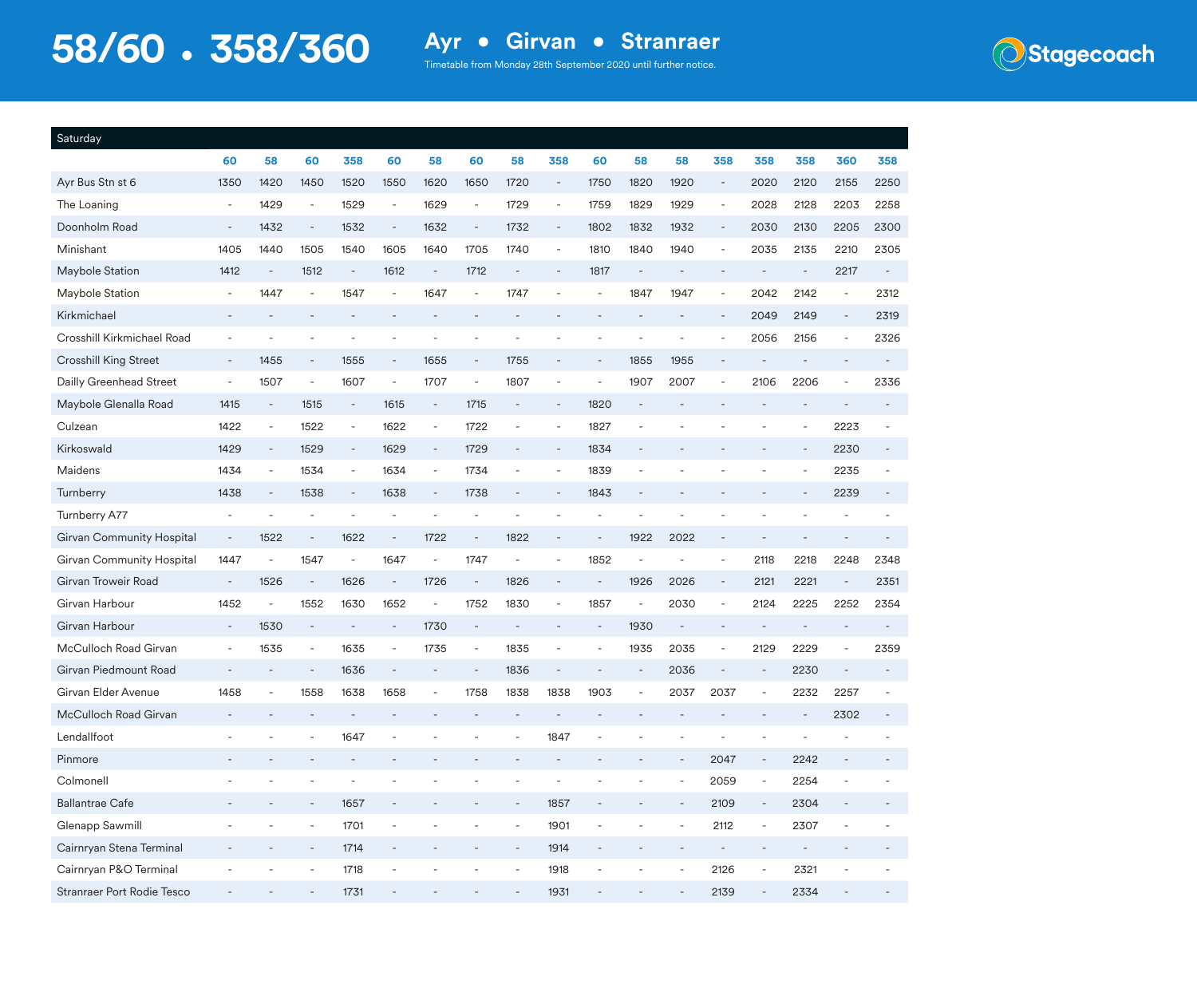

| Saturday                     |                          |                          |                          |                          |                          |                              |                          |                          |                          |                              |                          |                          |                              |                              |                          |                          |                          |
|------------------------------|--------------------------|--------------------------|--------------------------|--------------------------|--------------------------|------------------------------|--------------------------|--------------------------|--------------------------|------------------------------|--------------------------|--------------------------|------------------------------|------------------------------|--------------------------|--------------------------|--------------------------|
|                              | 60                       | 58                       | 60                       | 358                      | 60                       | 58                           | 60                       | 58                       | 358                      | 60                           | 58                       | 58                       | 358                          | 358                          | 358                      | 360                      | 358                      |
| Ayr Bus Stn st 6             | 1350                     | 1420                     | 1450                     | 1520                     | 1550                     | 1620                         | 1650                     | 1720                     | $\overline{\phantom{a}}$ | 1750                         | 1820                     | 1920                     | $\overline{\phantom{a}}$     | 2020                         | 2120                     | 2155                     | 2250                     |
| The Loaning                  | $\overline{\phantom{a}}$ | 1429                     | $\overline{\phantom{a}}$ | 1529                     | $\overline{\phantom{a}}$ | 1629                         | $\overline{\phantom{a}}$ | 1729                     | $\overline{\phantom{a}}$ | 1759                         | 1829                     | 1929                     | $\overline{\phantom{a}}$     | 2028                         | 2128                     | 2203                     | 2258                     |
| Doonholm Road                | $\overline{\phantom{a}}$ | 1432                     | $\overline{\phantom{a}}$ | 1532                     | $\blacksquare$           | 1632                         | $\overline{\phantom{a}}$ | 1732                     | $\overline{\phantom{a}}$ | 1802                         | 1832                     | 1932                     | $\overline{\phantom{a}}$     | 2030                         | 2130                     | 2205                     | 2300                     |
| Minishant                    | 1405                     | 1440                     | 1505                     | 1540                     | 1605                     | 1640                         | 1705                     | 1740                     | $\overline{\phantom{a}}$ | 1810                         | 1840                     | 1940                     | $\overline{\phantom{a}}$     | 2035                         | 2135                     | 2210                     | 2305                     |
| Maybole Station              | 1412                     | $\overline{a}$           | 1512                     | $\overline{\phantom{a}}$ | 1612                     | $\bar{\phantom{a}}$          | 1712                     | $\overline{\phantom{a}}$ | $\overline{\phantom{a}}$ | 1817                         |                          | $\sim$                   | ۰                            |                              | $\overline{\phantom{a}}$ | 2217                     | $\overline{\phantom{a}}$ |
| Maybole Station              |                          | 1447                     | $\overline{a}$           | 1547                     |                          | 1647                         |                          | 1747                     |                          |                              | 1847                     | 1947                     | $\overline{\phantom{a}}$     | 2042                         | 2142                     |                          | 2312                     |
| Kirkmichael                  |                          |                          |                          |                          |                          |                              |                          |                          |                          |                              |                          |                          | $\sim$                       | 2049                         | 2149                     | $\overline{\phantom{a}}$ | 2319                     |
| Crosshill Kirkmichael Road   |                          |                          |                          |                          |                          |                              |                          |                          |                          |                              |                          |                          |                              | 2056                         | 2156                     |                          | 2326                     |
| <b>Crosshill King Street</b> | $\overline{\phantom{a}}$ | 1455                     | $\overline{\phantom{a}}$ | 1555                     | $\sim$                   | 1655                         | $\overline{\phantom{a}}$ | 1755                     | $\overline{\phantom{m}}$ | $\overline{\phantom{a}}$     | 1855                     | 1955                     | $\overline{a}$               |                              |                          |                          |                          |
| Dailly Greenhead Street      | $\overline{\phantom{a}}$ | 1507                     | $\overline{\phantom{a}}$ | 1607                     | $\blacksquare$           | 1707                         | $\overline{\phantom{a}}$ | 1807                     | $\overline{\phantom{a}}$ | $\overline{\phantom{a}}$     | 1907                     | 2007                     | $\overline{\phantom{a}}$     | 2106                         | 2206                     |                          | 2336                     |
| Maybole Glenalla Road        | 1415                     | $\overline{a}$           | 1515                     | $\overline{\phantom{a}}$ | 1615                     | $\overline{\phantom{a}}$     | 1715                     |                          | $\overline{\phantom{m}}$ | 1820                         |                          |                          |                              |                              |                          |                          |                          |
| Culzean                      | 1422                     | $\overline{\phantom{a}}$ | 1522                     | $\overline{\phantom{a}}$ | 1622                     | $\overline{\phantom{a}}$     | 1722                     | $\overline{\phantom{a}}$ | $\overline{\phantom{a}}$ | 1827                         |                          |                          |                              |                              | $\overline{\phantom{a}}$ | 2223                     |                          |
| Kirkoswald                   | 1429                     | $\overline{\phantom{a}}$ | 1529                     | $\overline{\phantom{a}}$ | 1629                     | $\overline{\phantom{a}}$     | 1729                     | $\overline{\phantom{a}}$ | $\overline{\phantom{a}}$ | 1834                         |                          |                          |                              |                              |                          | 2230                     |                          |
| Maidens                      | 1434                     | $\overline{\phantom{a}}$ | 1534                     | $\overline{\phantom{a}}$ | 1634                     | $\overline{\phantom{a}}$     | 1734                     | $\overline{\phantom{a}}$ | $\overline{\phantom{a}}$ | 1839                         |                          |                          |                              |                              |                          | 2235                     |                          |
| Turnberry                    | 1438                     | $\qquad \qquad -$        | 1538                     | $\overline{\phantom{a}}$ | 1638                     | ÷,                           | 1738                     |                          | $\qquad \qquad -$        | 1843                         |                          |                          |                              |                              |                          | 2239                     |                          |
| Turnberry A77                |                          |                          |                          |                          |                          |                              |                          |                          |                          |                              |                          |                          |                              |                              |                          |                          |                          |
| Girvan Community Hospital    | $\overline{\phantom{a}}$ | 1522                     | $\overline{\phantom{a}}$ | 1622                     | $\overline{\phantom{a}}$ | 1722                         | $\overline{\phantom{a}}$ | 1822                     | $\overline{\phantom{a}}$ | $\overline{\phantom{a}}$     | 1922                     | 2022                     | $\qquad \qquad -$            | $\overline{\phantom{a}}$     |                          |                          |                          |
| Girvan Community Hospital    | 1447                     |                          | 1547                     |                          | 1647                     | ÷,                           | 1747                     |                          | $\overline{a}$           | 1852                         |                          |                          | $\overline{\phantom{a}}$     | 2118                         | 2218                     | 2248                     | 2348                     |
| Girvan Troweir Road          | $\overline{\phantom{a}}$ | 1526                     | $\overline{\phantom{a}}$ | 1626                     | $\overline{\phantom{a}}$ | 1726                         | $\overline{\phantom{a}}$ | 1826                     | $\qquad \qquad -$        | $\overline{\phantom{a}}$     | 1926                     | 2026                     | $\overline{\phantom{a}}$     | 2121                         | 2221                     | $\overline{\phantom{a}}$ | 2351                     |
| Girvan Harbour               | 1452                     | $\overline{a}$           | 1552                     | 1630                     | 1652                     | ÷,                           | 1752                     | 1830                     | $\blacksquare$           | 1857                         | $\overline{\phantom{a}}$ | 2030                     | $\overline{\phantom{a}}$     | 2124                         | 2225                     | 2252                     | 2354                     |
| Girvan Harbour               | $\overline{\phantom{a}}$ | 1530                     | $\overline{a}$           |                          |                          | 1730                         |                          |                          |                          |                              | 1930                     |                          |                              |                              |                          |                          |                          |
| McCulloch Road Girvan        | $\overline{\phantom{a}}$ | 1535                     | $\overline{\phantom{a}}$ | 1635                     | $\sim$                   | 1735                         | $\overline{\phantom{a}}$ | 1835                     | $\overline{\phantom{a}}$ | $\overline{\phantom{a}}$     | 1935                     | 2035                     | ÷,                           | 2129                         | 2229                     |                          | 2359                     |
| Girvan Piedmount Road        | $\overline{\phantom{a}}$ |                          | $\overline{\phantom{a}}$ | 1636                     | $\overline{\phantom{a}}$ | $\qquad \qquad -$            | $\overline{\phantom{a}}$ | 1836                     | $\overline{\phantom{a}}$ |                              | $\overline{\phantom{a}}$ | 2036                     | $\qquad \qquad \blacksquare$ | $\overline{\phantom{a}}$     | 2230                     |                          |                          |
| Girvan Elder Avenue          | 1458                     | $\overline{\phantom{a}}$ | 1558                     | 1638                     | 1658                     | $\qquad \qquad \blacksquare$ | 1758                     | 1838                     | 1838                     | 1903                         | $\overline{\phantom{a}}$ | 2037                     | 2037                         | $\overline{\phantom{a}}$     | 2232                     | 2257                     |                          |
| McCulloch Road Girvan        |                          |                          |                          |                          |                          |                              |                          | $\overline{\phantom{a}}$ | ٠                        |                              |                          |                          |                              |                              |                          | 2302                     |                          |
| Lendallfoot                  |                          |                          |                          | 1647                     |                          |                              |                          |                          | 1847                     |                              |                          |                          |                              |                              |                          |                          |                          |
| Pinmore                      |                          |                          |                          |                          |                          |                              |                          |                          |                          |                              |                          |                          | 2047                         |                              | 2242                     |                          |                          |
| Colmonell                    |                          |                          |                          |                          |                          |                              |                          |                          | ÷                        |                              |                          | $\overline{\phantom{m}}$ | 2059                         | ÷                            | 2254                     |                          |                          |
| <b>Ballantrae Cafe</b>       |                          |                          |                          | 1657                     | $\bar{a}$                |                              |                          | $\overline{\phantom{a}}$ | 1857                     | $\overline{\phantom{a}}$     |                          | $\overline{\phantom{a}}$ | 2109                         | $\overline{\phantom{a}}$     | 2304                     |                          |                          |
| Glenapp Sawmill              |                          |                          | $\overline{a}$           | 1701                     | $\overline{\phantom{a}}$ |                              |                          |                          | 1901                     | $\qquad \qquad \blacksquare$ |                          |                          | 2112                         | $\qquad \qquad \blacksquare$ | 2307                     | $\overline{a}$           |                          |
| Cairnryan Stena Terminal     |                          |                          |                          | 1714                     | $\qquad \qquad -$        |                              |                          |                          | 1914                     |                              |                          |                          | $\blacksquare$               |                              |                          |                          |                          |
| Cairnryan P&O Terminal       |                          |                          | $\overline{\phantom{a}}$ | 1718                     | $\blacksquare$           |                              |                          | $\overline{\phantom{a}}$ | 1918                     | $\overline{\phantom{a}}$     |                          | $\overline{\phantom{a}}$ | 2126                         | $\overline{\phantom{a}}$     | 2321                     |                          |                          |
| Stranraer Port Rodie Tesco   |                          |                          |                          | 1731                     | $\overline{\phantom{a}}$ |                              |                          |                          | 1931                     | $\overline{\phantom{a}}$     |                          |                          | 2139                         | $\blacksquare$               | 2334                     | $\qquad \qquad -$        |                          |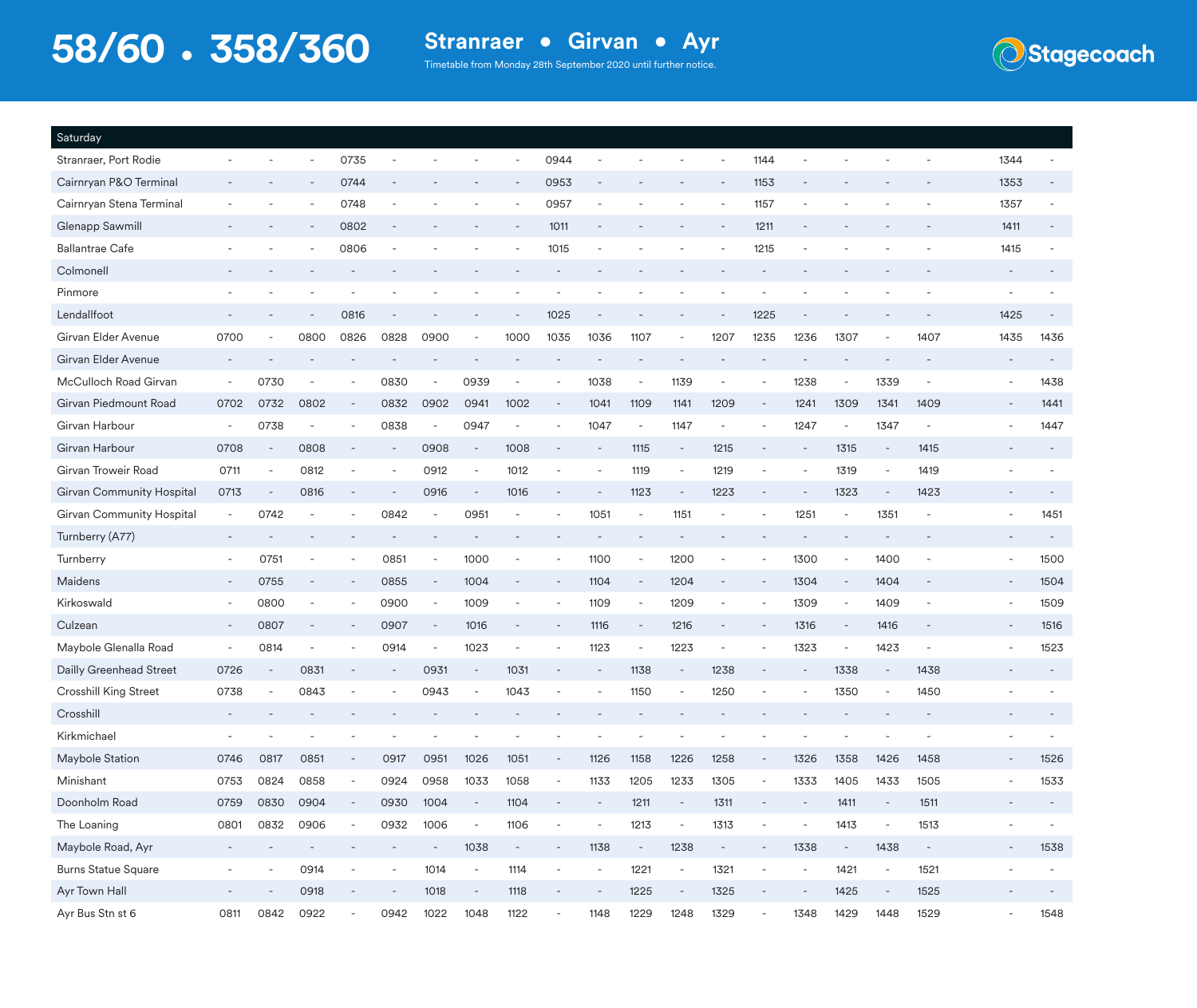

| Saturday                         |                          |                          |                          |                          |                          |                          |                          |                          |                          |                          |                          |                          |                          |                          |                          |                          |                          |                          |                          |      |
|----------------------------------|--------------------------|--------------------------|--------------------------|--------------------------|--------------------------|--------------------------|--------------------------|--------------------------|--------------------------|--------------------------|--------------------------|--------------------------|--------------------------|--------------------------|--------------------------|--------------------------|--------------------------|--------------------------|--------------------------|------|
| Stranraer, Port Rodie            |                          |                          |                          | 0735                     |                          |                          |                          |                          | 0944                     |                          |                          |                          |                          | 1144                     |                          |                          |                          |                          | 1344                     |      |
| Cairnryan P&O Terminal           |                          |                          |                          | 0744                     |                          |                          |                          |                          | 0953                     |                          |                          |                          |                          | 1153                     |                          |                          |                          |                          | 1353                     |      |
| Cairnryan Stena Terminal         |                          |                          |                          | 0748                     |                          |                          |                          |                          | 0957                     |                          |                          |                          |                          | 1157                     |                          |                          |                          |                          | 1357                     |      |
| Glenapp Sawmill                  |                          |                          |                          | 0802                     |                          |                          |                          |                          | 1011                     |                          |                          |                          |                          | 1211                     |                          |                          |                          |                          | 1411                     |      |
| <b>Ballantrae Cafe</b>           |                          |                          |                          | 0806                     |                          |                          |                          |                          | 1015                     |                          |                          |                          |                          | 1215                     |                          |                          |                          |                          | 1415                     |      |
| Colmonell                        |                          |                          |                          |                          |                          |                          |                          |                          |                          |                          |                          |                          |                          |                          |                          |                          |                          |                          |                          |      |
| Pinmore                          |                          |                          |                          |                          |                          |                          |                          |                          |                          |                          |                          |                          |                          |                          |                          |                          |                          |                          |                          |      |
| Lendallfoot                      |                          |                          |                          | 0816                     |                          |                          |                          |                          | 1025                     |                          |                          |                          |                          | 1225                     |                          |                          |                          |                          | 1425                     |      |
| Girvan Elder Avenue              | 0700                     |                          | 0800                     | 0826                     | 0828                     | 0900                     |                          | 1000                     | 1035                     | 1036                     | 1107                     |                          | 1207                     | 1235                     | 1236                     | 1307                     |                          | 1407                     | 1435                     | 1436 |
| Girvan Elder Avenue              |                          |                          |                          |                          |                          |                          |                          |                          |                          |                          |                          |                          |                          |                          |                          |                          |                          |                          |                          |      |
| McCulloch Road Girvan            | $\overline{\phantom{a}}$ | 0730                     |                          |                          | 0830                     | $\overline{\phantom{a}}$ | 0939                     | $\overline{\phantom{a}}$ |                          | 1038                     | $\overline{\phantom{a}}$ | 1139                     |                          |                          | 1238                     | $\overline{\phantom{a}}$ | 1339                     | $\overline{\phantom{a}}$ | $\overline{\phantom{a}}$ | 1438 |
| Girvan Piedmount Road            | 0702                     | 0732                     | 0802                     |                          | 0832                     | 0902                     | 0941                     | 1002                     |                          | 1041                     | 1109                     | 1141                     | 1209                     |                          | 1241                     | 1309                     | 1341                     | 1409                     |                          | 1441 |
| Girvan Harbour                   | $\overline{\phantom{a}}$ | 0738                     |                          |                          | 0838                     | $\overline{\phantom{a}}$ | 0947                     | $\overline{\phantom{a}}$ |                          | 1047                     | $\overline{\phantom{a}}$ | 1147                     |                          |                          | 1247                     | $\overline{\phantom{a}}$ | 1347                     | $\overline{\phantom{a}}$ |                          | 1447 |
| Girvan Harbour                   | 0708                     | $\overline{\phantom{a}}$ | 0808                     |                          |                          | 0908                     | $\overline{\phantom{a}}$ | 1008                     |                          | $\overline{\phantom{a}}$ | 1115                     | $\overline{\phantom{a}}$ | 1215                     |                          |                          | 1315                     | $\overline{\phantom{a}}$ | 1415                     |                          |      |
| Girvan Troweir Road              | 0711                     |                          | 0812                     |                          |                          | 0912                     |                          | 1012                     |                          |                          | 1119                     | $\overline{\phantom{a}}$ | 1219                     |                          |                          | 1319                     |                          | 1419                     |                          |      |
| <b>Girvan Community Hospital</b> | 0713                     | $\overline{\phantom{a}}$ | 0816                     |                          |                          | 0916                     | $\overline{\phantom{a}}$ | 1016                     |                          |                          | 1123                     | $\overline{\phantom{a}}$ | 1223                     |                          |                          | 1323                     |                          | 1423                     |                          |      |
| Girvan Community Hospital        |                          | 0742                     |                          |                          | 0842                     | $\overline{\phantom{a}}$ | 0951                     |                          |                          | 1051                     | $\overline{\phantom{a}}$ | 1151                     |                          |                          | 1251                     | $\overline{\phantom{a}}$ | 1351                     |                          |                          | 1451 |
| Turnberry (A77)                  |                          |                          |                          |                          |                          |                          |                          |                          |                          |                          |                          |                          |                          |                          |                          |                          |                          |                          |                          |      |
| Turnberry                        | $\overline{\phantom{a}}$ | 0751                     |                          |                          | 0851                     |                          | 1000                     |                          |                          | 1100                     |                          | 1200                     |                          |                          | 1300                     |                          | 1400                     |                          |                          | 1500 |
| Maidens                          | $\overline{\phantom{a}}$ | 0755                     |                          |                          | 0855                     | $\overline{\phantom{a}}$ | 1004                     |                          |                          | 1104                     | $\overline{\phantom{a}}$ | 1204                     |                          |                          | 1304                     | $\overline{\phantom{a}}$ | 1404                     | $\overline{\phantom{a}}$ | $\overline{\phantom{a}}$ | 1504 |
| Kirkoswald                       | $\overline{\phantom{a}}$ | 0800                     | $\overline{\phantom{a}}$ |                          | 0900                     | $\sim$                   | 1009                     | $\overline{\phantom{a}}$ |                          | 1109                     | $\overline{\phantom{a}}$ | 1209                     | $\overline{\phantom{a}}$ |                          | 1309                     | $\overline{\phantom{a}}$ | 1409                     | $\overline{\phantom{a}}$ | $\overline{\phantom{a}}$ | 1509 |
| Culzean                          | $\overline{\phantom{a}}$ | 0807                     |                          |                          | 0907                     | $\overline{\phantom{a}}$ | 1016                     |                          |                          | 1116                     |                          | 1216                     |                          |                          | 1316                     | $\overline{\phantom{a}}$ | 1416                     |                          |                          | 1516 |
| Maybole Glenalla Road            | $\overline{\phantom{a}}$ | 0814                     |                          |                          | 0914                     | $\overline{\phantom{a}}$ | 1023                     | $\overline{\phantom{a}}$ | $\overline{\phantom{a}}$ | 1123                     | $\overline{\phantom{a}}$ | 1223                     |                          |                          | 1323                     | $\overline{\phantom{a}}$ | 1423                     | $\overline{\phantom{a}}$ |                          | 1523 |
| Dailly Greenhead Street          | 0726                     | $\overline{\phantom{a}}$ | 0831                     |                          |                          | 0931                     | $\overline{\phantom{a}}$ | 1031                     |                          |                          | 1138                     | $\overline{\phantom{a}}$ | 1238                     |                          |                          | 1338                     | $\overline{\phantom{a}}$ | 1438                     |                          |      |
| Crosshill King Street            | 0738                     |                          | 0843                     |                          |                          | 0943                     |                          | 1043                     |                          |                          | 1150                     |                          | 1250                     |                          |                          | 1350                     |                          | 1450                     |                          |      |
| Crosshill                        |                          |                          |                          |                          |                          |                          |                          |                          |                          |                          |                          |                          |                          |                          |                          |                          |                          |                          |                          |      |
| Kirkmichael                      |                          |                          |                          |                          |                          |                          |                          |                          |                          |                          |                          |                          |                          |                          |                          |                          |                          |                          |                          |      |
| Maybole Station                  | 0746                     | 0817                     | 0851                     |                          | 0917                     | 0951                     | 1026                     | 1051                     |                          | 1126                     | 1158                     | 1226                     | 1258                     |                          | 1326                     | 1358                     | 1426                     | 1458                     |                          | 1526 |
| Minishant                        | 0753                     | 0824                     | 0858                     | $\overline{\phantom{a}}$ | 0924                     | 0958                     | 1033                     | 1058                     |                          | 1133                     | 1205                     | 1233                     | 1305                     | $\overline{\phantom{a}}$ | 1333                     | 1405                     | 1433                     | 1505                     |                          | 1533 |
| Doonholm Road                    | 0759                     | 0830                     | 0904                     | $\overline{\phantom{a}}$ | 0930                     | 1004                     | $\overline{\phantom{a}}$ | 1104                     |                          | $\overline{\phantom{a}}$ | 1211                     | $\overline{\phantom{a}}$ | 1311                     |                          | $\overline{\phantom{a}}$ | 1411                     | $\overline{\phantom{a}}$ | 1511                     |                          |      |
| The Loaning                      | 0801                     | 0832                     | 0906                     | $\overline{\phantom{a}}$ | 0932                     | 1006                     | $\overline{\phantom{a}}$ | 1106                     | $\overline{\phantom{a}}$ | $\overline{\phantom{a}}$ | 1213                     | $\overline{\phantom{a}}$ | 1313                     | $\overline{\phantom{a}}$ | $\overline{\phantom{a}}$ | 1413                     | $\overline{\phantom{a}}$ | 1513                     |                          |      |
| Maybole Road, Ayr                |                          |                          |                          |                          |                          | $\overline{\phantom{a}}$ | 1038                     | $\overline{\phantom{a}}$ | $\overline{\phantom{a}}$ | 1138                     | $\overline{\phantom{a}}$ | 1238                     | $\overline{\phantom{a}}$ | $\overline{\phantom{a}}$ | 1338                     | $\overline{\phantom{a}}$ | 1438                     | $\overline{\phantom{a}}$ | $\overline{\phantom{a}}$ | 1538 |
| <b>Burns Statue Square</b>       | $\overline{\phantom{a}}$ | $\overline{\phantom{a}}$ | 0914                     | $\overline{\phantom{a}}$ | $\overline{\phantom{a}}$ | 1014                     | $\overline{\phantom{a}}$ | 1114                     | $\overline{\phantom{a}}$ | $\overline{\phantom{a}}$ | 1221                     | $\overline{\phantom{a}}$ | 1321                     | $\overline{\phantom{a}}$ | $\overline{\phantom{a}}$ | 1421                     | $\overline{\phantom{a}}$ | 1521                     |                          |      |
| Ayr Town Hall                    | $\overline{\phantom{a}}$ |                          | 0918                     |                          |                          | 1018                     | $\overline{\phantom{a}}$ | 1118                     |                          | $\overline{\phantom{a}}$ | 1225                     | $\equiv$                 | 1325                     |                          |                          | 1425                     | $\overline{\phantom{a}}$ | 1525                     |                          |      |
| Ayr Bus Stn st 6                 | 0811                     | 0842                     | 0922                     | $\overline{\phantom{a}}$ | 0942                     | 1022                     | 1048                     | 1122                     |                          | 1148                     | 1229                     | 1248                     | 1329                     |                          | 1348                     | 1429                     | 1448                     | 1529                     |                          | 1548 |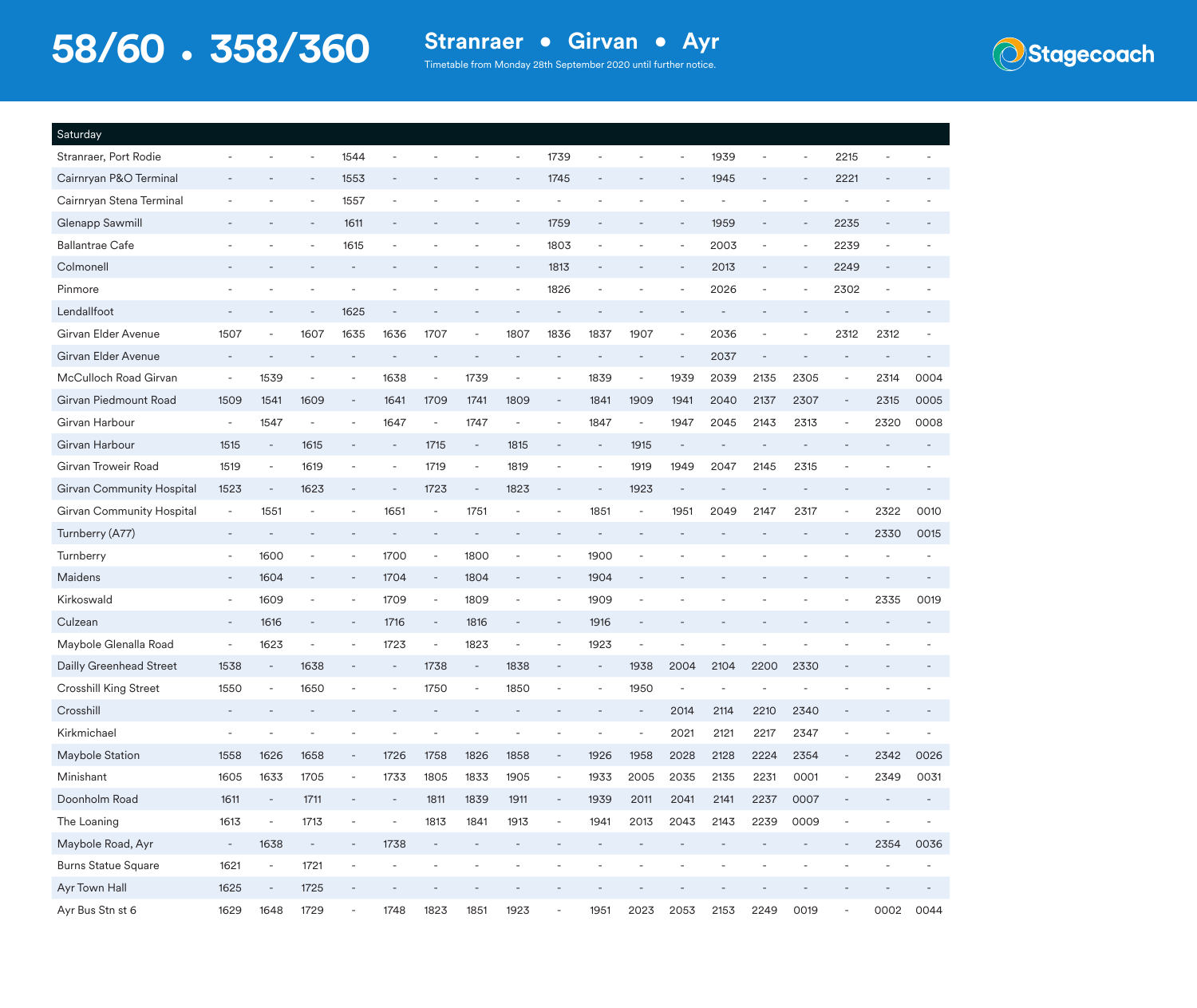

| Saturday                   |                          |                          |                          |                          |                          |                          |                          |                          |                              |      |                          |                          |      |      |                          |                          |      |      |
|----------------------------|--------------------------|--------------------------|--------------------------|--------------------------|--------------------------|--------------------------|--------------------------|--------------------------|------------------------------|------|--------------------------|--------------------------|------|------|--------------------------|--------------------------|------|------|
| Stranraer, Port Rodie      |                          |                          |                          | 1544                     |                          |                          |                          |                          | 1739                         |      |                          | $\overline{\phantom{a}}$ | 1939 |      |                          | 2215                     |      |      |
| Cairnryan P&O Terminal     |                          |                          |                          | 1553                     |                          |                          |                          |                          | 1745                         |      |                          |                          | 1945 |      |                          | 2221                     |      |      |
| Cairnryan Stena Terminal   |                          |                          |                          | 1557                     |                          |                          |                          |                          |                              |      |                          |                          |      |      |                          |                          |      |      |
| Glenapp Sawmill            |                          |                          |                          | 1611                     |                          |                          |                          | $\overline{\phantom{a}}$ | 1759                         |      |                          | $\overline{\phantom{a}}$ | 1959 |      |                          | 2235                     |      |      |
| <b>Ballantrae Cafe</b>     |                          |                          |                          | 1615                     |                          |                          |                          |                          | 1803                         |      |                          |                          | 2003 |      |                          | 2239                     |      |      |
| Colmonell                  |                          |                          |                          |                          |                          |                          |                          |                          | 1813                         |      |                          |                          | 2013 |      |                          | 2249                     |      |      |
| Pinmore                    |                          |                          |                          |                          |                          |                          |                          |                          | 1826                         |      |                          |                          | 2026 | -    |                          | 2302                     |      |      |
| Lendallfoot                |                          |                          |                          | 1625                     |                          |                          |                          |                          |                              |      |                          |                          |      |      |                          |                          |      |      |
| Girvan Elder Avenue        | 1507                     |                          | 1607                     | 1635                     | 1636                     | 1707                     |                          | 1807                     | 1836                         | 1837 | 1907                     | $\overline{\phantom{a}}$ | 2036 |      |                          | 2312                     | 2312 |      |
| Girvan Elder Avenue        |                          |                          |                          |                          |                          |                          |                          |                          |                              |      |                          | $\overline{a}$           | 2037 |      |                          |                          |      |      |
| McCulloch Road Girvan      | $\overline{\phantom{a}}$ | 1539                     | $\overline{a}$           |                          | 1638                     | $\overline{\phantom{a}}$ | 1739                     |                          | $\overline{\phantom{a}}$     | 1839 | $\overline{\phantom{a}}$ | 1939                     | 2039 | 2135 | 2305                     | $\overline{\phantom{a}}$ | 2314 | 0004 |
| Girvan Piedmount Road      | 1509                     | 1541                     | 1609                     | $\overline{\phantom{a}}$ | 1641                     | 1709                     | 1741                     | 1809                     | $\overline{\phantom{a}}$     | 1841 | 1909                     | 1941                     | 2040 | 2137 | 2307                     | $\overline{\phantom{a}}$ | 2315 | 0005 |
| Girvan Harbour             | $\overline{\phantom{a}}$ | 1547                     | $\overline{\phantom{a}}$ |                          | 1647                     | $\overline{\phantom{a}}$ | 1747                     | $\overline{\phantom{a}}$ | $\overline{\phantom{a}}$     | 1847 | $\overline{a}$           | 1947                     | 2045 | 2143 | 2313                     | $\overline{\phantom{a}}$ | 2320 | 0008 |
| Girvan Harbour             | 1515                     | $\overline{\phantom{a}}$ | 1615                     |                          | $\overline{\phantom{a}}$ | 1715                     | $\overline{\phantom{a}}$ | 1815                     | $\overline{\phantom{a}}$     |      | 1915                     | $\overline{\phantom{a}}$ |      |      |                          |                          |      |      |
| Girvan Troweir Road        | 1519                     | $\overline{\phantom{a}}$ | 1619                     |                          |                          | 1719                     | $\overline{\phantom{a}}$ | 1819                     | $\overline{\phantom{a}}$     |      | 1919                     | 1949                     | 2047 | 2145 | 2315                     |                          |      |      |
| Girvan Community Hospital  | 1523                     | $\overline{\phantom{a}}$ | 1623                     | $\overline{\phantom{a}}$ | $\overline{\phantom{a}}$ | 1723                     | $\overline{\phantom{a}}$ | 1823                     | $\overline{\phantom{a}}$     |      | 1923                     | $\overline{\phantom{a}}$ |      |      |                          |                          |      |      |
| Girvan Community Hospital  | $\overline{\phantom{a}}$ | 1551                     |                          |                          | 1651                     | $\overline{\phantom{m}}$ | 1751                     |                          | $\overline{\phantom{a}}$     | 1851 | $\overline{a}$           | 1951                     | 2049 | 2147 | 2317                     |                          | 2322 | 0010 |
| Turnberry (A77)            | $\overline{\phantom{a}}$ |                          |                          |                          |                          |                          |                          |                          |                              |      |                          |                          |      |      |                          |                          | 2330 | 0015 |
| Turnberry                  | $\sim$                   | 1600                     |                          | $\qquad \qquad -$        | 1700                     | $\overline{\phantom{a}}$ | 1800                     |                          | $\overline{\phantom{a}}$     | 1900 |                          |                          |      |      |                          |                          |      |      |
| Maidens                    | $\sim$                   | 1604                     |                          | $\overline{\phantom{a}}$ | 1704                     | $\overline{\phantom{a}}$ | 1804                     |                          | $\overline{\phantom{a}}$     | 1904 |                          |                          |      |      |                          |                          |      |      |
| Kirkoswald                 | $\overline{\phantom{a}}$ | 1609                     |                          | $\overline{\phantom{m}}$ | 1709                     | $\overline{\phantom{a}}$ | 1809                     |                          | $\overline{\phantom{a}}$     | 1909 |                          |                          |      |      |                          |                          | 2335 | 0019 |
| Culzean                    | $\blacksquare$           | 1616                     |                          |                          | 1716                     | $\overline{\phantom{a}}$ | 1816                     |                          | $\qquad \qquad \blacksquare$ | 1916 |                          |                          |      |      |                          |                          |      |      |
| Maybole Glenalla Road      | $\overline{\phantom{a}}$ | 1623                     | $\overline{\phantom{a}}$ | $\overline{\phantom{a}}$ | 1723                     | $\overline{\phantom{a}}$ | 1823                     | $\overline{\phantom{a}}$ | $\overline{\phantom{a}}$     | 1923 | $\overline{\phantom{a}}$ |                          |      |      |                          |                          |      |      |
| Dailly Greenhead Street    | 1538                     | $\overline{\phantom{a}}$ | 1638                     | $\overline{\phantom{a}}$ | $\overline{\phantom{a}}$ | 1738                     | $\overline{\phantom{a}}$ | 1838                     | $\qquad \qquad -$            |      | 1938                     | 2004                     | 2104 | 2200 | 2330                     |                          |      |      |
| Crosshill King Street      | 1550                     | $\overline{\phantom{a}}$ | 1650                     |                          |                          | 1750                     |                          | 1850                     |                              |      | 1950                     |                          |      |      |                          |                          |      |      |
| Crosshill                  |                          |                          |                          |                          |                          |                          |                          |                          |                              |      |                          | 2014                     | 2114 | 2210 | 2340                     |                          |      |      |
| Kirkmichael                |                          |                          |                          |                          |                          |                          |                          |                          |                              |      |                          | 2021                     | 2121 | 2217 | 2347                     |                          |      |      |
| Maybole Station            | 1558                     | 1626                     | 1058                     |                          | 1726                     | 1758                     | 1826                     | 1858                     |                              | 1926 | 1958                     | 2028                     | 2128 | 2224 | 2354                     |                          | 2342 | 0026 |
| Minishant                  | 1605                     | 1633                     | 1705                     | $\overline{\phantom{m}}$ | 1733                     | 1805                     | 1833                     | 1905                     | $\blacksquare$               | 1933 | 2005                     | 2035                     | 2135 | 2231 | 0001                     |                          | 2349 | 0031 |
| Doonholm Road              | 1611                     | $\overline{\phantom{a}}$ | 1711                     |                          | $\overline{\phantom{a}}$ | 1811                     | 1839                     | 1911                     | $\equiv$                     | 1939 | 2011                     | 2041                     | 2141 | 2237 | 0007                     |                          |      |      |
| The Loaning                | 1613                     | $\overline{\phantom{a}}$ | 1713                     | $\overline{\phantom{a}}$ | $\overline{\phantom{a}}$ | 1813                     | 1841                     | 1913                     | $\overline{\phantom{a}}$     | 1941 | 2013                     | 2043                     | 2143 | 2239 | 0009                     |                          |      |      |
| Maybole Road, Ayr          | $\equiv$                 | 1638                     | $\overline{\phantom{a}}$ | $\overline{\phantom{a}}$ | 1738                     | $\overline{\phantom{a}}$ | $\overline{\phantom{a}}$ |                          | $\overline{\phantom{a}}$     |      |                          | $\overline{a}$           |      |      | $\overline{\phantom{a}}$ | $\overline{\phantom{a}}$ | 2354 | 0036 |
| <b>Burns Statue Square</b> | 1621                     | $\overline{\phantom{a}}$ | 1721                     | $\overline{\phantom{a}}$ | $\overline{\phantom{a}}$ | $\overline{\phantom{a}}$ | ٠                        | $\overline{\phantom{a}}$ | ÷,                           |      |                          | $\overline{\phantom{a}}$ |      |      | $\overline{\phantom{a}}$ |                          | ٠    |      |
| Ayr Town Hall              | 1625                     | $\equiv$                 | 1725                     | $\overline{\phantom{m}}$ |                          |                          |                          |                          |                              |      |                          |                          |      |      |                          |                          |      |      |
| Ayr Bus Stn st 6           | 1629                     | 1648                     | 1729                     | $\overline{\phantom{a}}$ | 1748                     | 1823                     | 1851                     | 1923                     | $\overline{\phantom{a}}$     | 1951 | 2023                     | 2053                     | 2153 | 2249 | 0019                     |                          | 0002 | 0044 |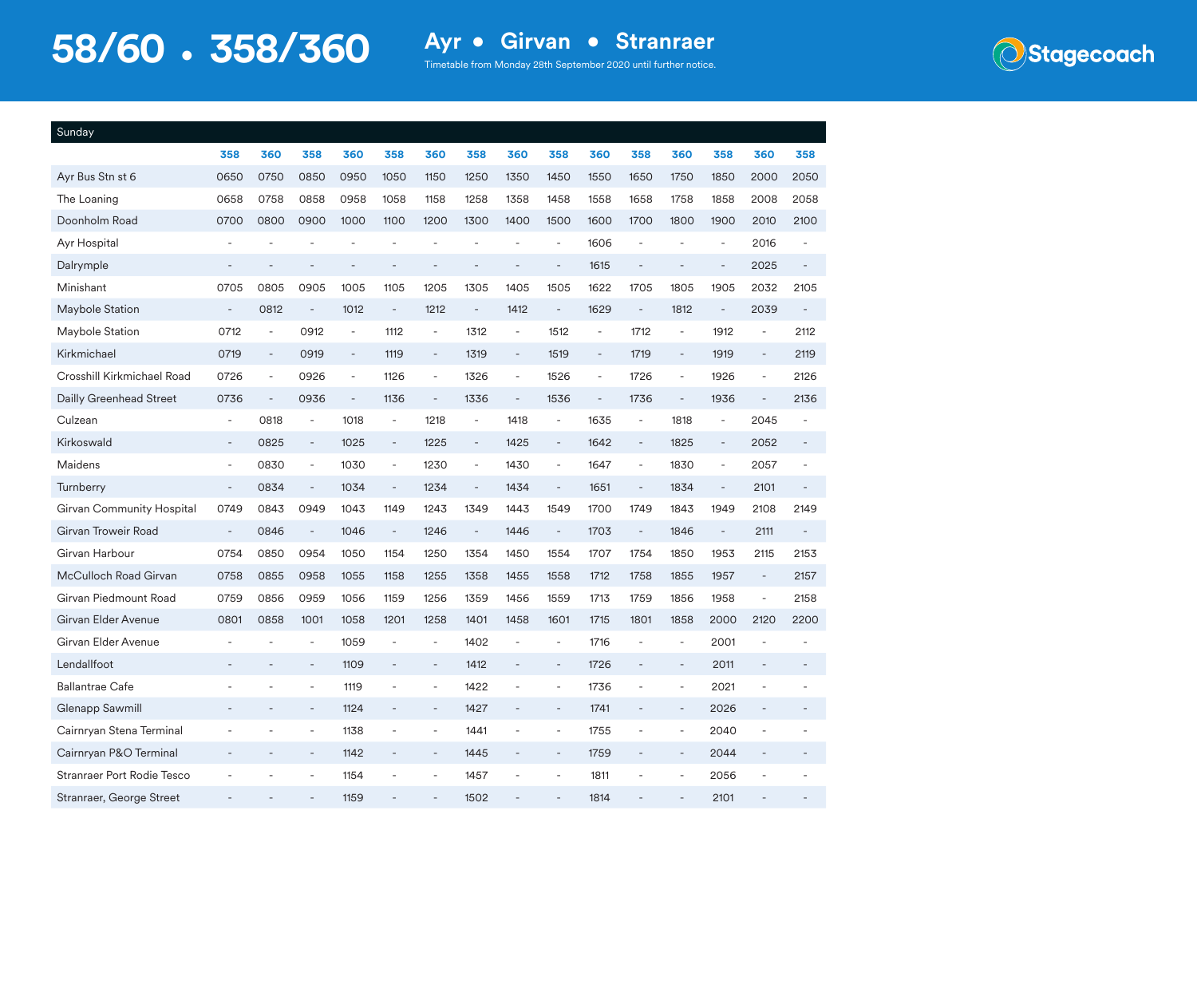

| Sunday                     |                          |                          |                          |                          |                |                          |                          |                          |                          |                          |                          |                          |                          |                              |                          |
|----------------------------|--------------------------|--------------------------|--------------------------|--------------------------|----------------|--------------------------|--------------------------|--------------------------|--------------------------|--------------------------|--------------------------|--------------------------|--------------------------|------------------------------|--------------------------|
|                            | 358                      | 360                      | 358                      | 360                      | 358            | 360                      | 358                      | 360                      | 358                      | 360                      | 358                      | 360                      | 358                      | 360                          | 358                      |
| Ayr Bus Stn st 6           | 0650                     | 0750                     | 0850                     | 0950                     | 1050           | 1150                     | 1250                     | 1350                     | 1450                     | 1550                     | 1650                     | 1750                     | 1850                     | 2000                         | 2050                     |
| The Loaning                | 0658                     | 0758                     | 0858                     | 0958                     | 1058           | 1158                     | 1258                     | 1358                     | 1458                     | 1558                     | 1658                     | 1758                     | 1858                     | 2008                         | 2058                     |
| Doonholm Road              | 0700                     | 0800                     | 0900                     | 1000                     | 1100           | 1200                     | 1300                     | 1400                     | 1500                     | 1600                     | 1700                     | 1800                     | 1900                     | 2010                         | 2100                     |
| Ayr Hospital               |                          |                          |                          |                          |                |                          |                          |                          | ÷,                       | 1606                     | ÷,                       |                          | ÷,                       | 2016                         |                          |
| Dalrymple                  |                          |                          |                          |                          | L,             |                          |                          |                          | L,                       | 1615                     | $\overline{a}$           |                          | $\overline{a}$           | 2025                         |                          |
| Minishant                  | 0705                     | 0805                     | 0905                     | 1005                     | 1105           | 1205                     | 1305                     | 1405                     | 1505                     | 1622                     | 1705                     | 1805                     | 1905                     | 2032                         | 2105                     |
| Maybole Station            | $\overline{\phantom{a}}$ | 0812                     | $\overline{\phantom{a}}$ | 1012                     | ÷,             | 1212                     | $\bar{\phantom{a}}$      | 1412                     | $\overline{\phantom{a}}$ | 1629                     | $\blacksquare$           | 1812                     | $\blacksquare$           | 2039                         | $\overline{\phantom{a}}$ |
| Maybole Station            | 0712                     | L.                       | 0912                     | ÷,                       | 1112           | ÷,                       | 1312                     | $\overline{\phantom{a}}$ | 1512                     | ÷,                       | 1712                     | ÷,                       | 1912                     | ÷,                           | 2112                     |
| Kirkmichael                | 0719                     | $\overline{\phantom{a}}$ | 0919                     | $\blacksquare$           | 1119           | ÷,                       | 1319                     | $\overline{\phantom{a}}$ | 1519                     | $\blacksquare$           | 1719                     | $\overline{a}$           | 1919                     | $\qquad \qquad \blacksquare$ | 2119                     |
| Crosshill Kirkmichael Road | 0726                     | $\overline{\phantom{a}}$ | 0926                     | $\overline{\phantom{a}}$ | 1126           | $\bar{\phantom{a}}$      | 1326                     | $\overline{\phantom{a}}$ | 1526                     | $\overline{\phantom{a}}$ | 1726                     | $\overline{\phantom{a}}$ | 1926                     | ÷,                           | 2126                     |
| Dailly Greenhead Street    | 0736                     | $\overline{\phantom{a}}$ | 0936                     | $\blacksquare$           | 1136           | $\equiv$                 | 1336                     | $\blacksquare$           | 1536                     | $\blacksquare$           | 1736                     | $\blacksquare$           | 1936                     | ÷,                           | 2136                     |
| Culzean                    | ÷,                       | 0818                     | ÷,                       | 1018                     | ÷,             | 1218                     | ÷,                       | 1418                     | ÷,                       | 1635                     | ÷,                       | 1818                     | ÷,                       | 2045                         |                          |
| Kirkoswald                 | ÷,                       | 0825                     | $\overline{\phantom{a}}$ | 1025                     | ÷,             | 1225                     | $\overline{\phantom{a}}$ | 1425                     | $\blacksquare$           | 1642                     | $\overline{\phantom{a}}$ | 1825                     | $\blacksquare$           | 2052                         | ÷,                       |
| Maidens                    | ÷,                       | 0830                     | $\blacksquare$           | 1030                     | ä,             | 1230                     | ä,                       | 1430                     | $\overline{\phantom{a}}$ | 1647                     | ÷,                       | 1830                     | ä,                       | 2057                         |                          |
| Turnberry                  | ÷,                       | 0834                     | $\overline{\phantom{a}}$ | 1034                     | $\blacksquare$ | 1234                     | $\overline{\phantom{a}}$ | 1434                     | ÷,                       | 1651                     | $\overline{\phantom{a}}$ | 1834                     | $\overline{\phantom{a}}$ | 2101                         |                          |
| Girvan Community Hospital  | 0749                     | 0843                     | 0949                     | 1043                     | 1149           | 1243                     | 1349                     | 1443                     | 1549                     | 1700                     | 1749                     | 1843                     | 1949                     | 2108                         | 2149                     |
| Girvan Troweir Road        | $\overline{\phantom{a}}$ | 0846                     | $\overline{\phantom{a}}$ | 1046                     | ÷,             | 1246                     | $\bar{a}$                | 1446                     | $\overline{\phantom{a}}$ | 1703                     | $\overline{\phantom{a}}$ | 1846                     | ÷,                       | 2111                         | L.                       |
| Girvan Harbour             | 0754                     | 0850                     | 0954                     | 1050                     | 1154           | 1250                     | 1354                     | 1450                     | 1554                     | 1707                     | 1754                     | 1850                     | 1953                     | 2115                         | 2153                     |
| McCulloch Road Girvan      | 0758                     | 0855                     | 0958                     | 1055                     | 1158           | 1255                     | 1358                     | 1455                     | 1558                     | 1712                     | 1758                     | 1855                     | 1957                     | $\overline{\phantom{a}}$     | 2157                     |
| Girvan Piedmount Road      | 0759                     | 0856                     | 0959                     | 1056                     | 1159           | 1256                     | 1359                     | 1456                     | 1559                     | 1713                     | 1759                     | 1856                     | 1958                     | ä,                           | 2158                     |
| Girvan Elder Avenue        | 0801                     | 0858                     | 1001                     | 1058                     | 1201           | 1258                     | 1401                     | 1458                     | 1601                     | 1715                     | 1801                     | 1858                     | 2000                     | 2120                         | 2200                     |
| Girvan Elder Avenue        |                          |                          | ÷,                       | 1059                     | L,             | L,                       | 1402                     |                          | $\overline{\phantom{a}}$ | 1716                     | L,                       | $\overline{\phantom{a}}$ | 2001                     |                              |                          |
| Lendallfoot                |                          |                          | $\overline{\phantom{a}}$ | 1109                     |                | $\overline{\phantom{a}}$ | 1412                     |                          | $\overline{\phantom{a}}$ | 1726                     |                          | $\overline{\phantom{a}}$ | 2011                     |                              |                          |
| <b>Ballantrae Cafe</b>     |                          |                          | $\blacksquare$           | 1119                     |                | ÷,                       | 1422                     |                          | $\overline{a}$           | 1736                     |                          | $\overline{\phantom{a}}$ | 2021                     |                              |                          |
| Glenapp Sawmill            | ٠                        |                          | ÷,                       | 1124                     |                | ÷,                       | 1427                     |                          | ÷,                       | 1741                     |                          | ÷,                       | 2026                     |                              |                          |
| Cairnryan Stena Terminal   |                          |                          | $\overline{a}$           | 1138                     |                | Ē,                       | 1441                     |                          | ÷,                       | 1755                     |                          | $\overline{\phantom{a}}$ | 2040                     | Ē,                           |                          |
| Cairnryan P&O Terminal     |                          |                          | $\overline{a}$           | 1142                     |                | ÷                        | 1445                     |                          | ÷                        | 1759                     |                          | $\overline{a}$           | 2044                     |                              |                          |
| Stranraer Port Rodie Tesco |                          |                          |                          | 1154                     |                |                          | 1457                     |                          |                          | 1811                     |                          |                          | 2056                     |                              |                          |
| Stranraer, George Street   |                          |                          |                          | 1159                     |                |                          | 1502                     |                          |                          | 1814                     |                          |                          | 2101                     |                              |                          |